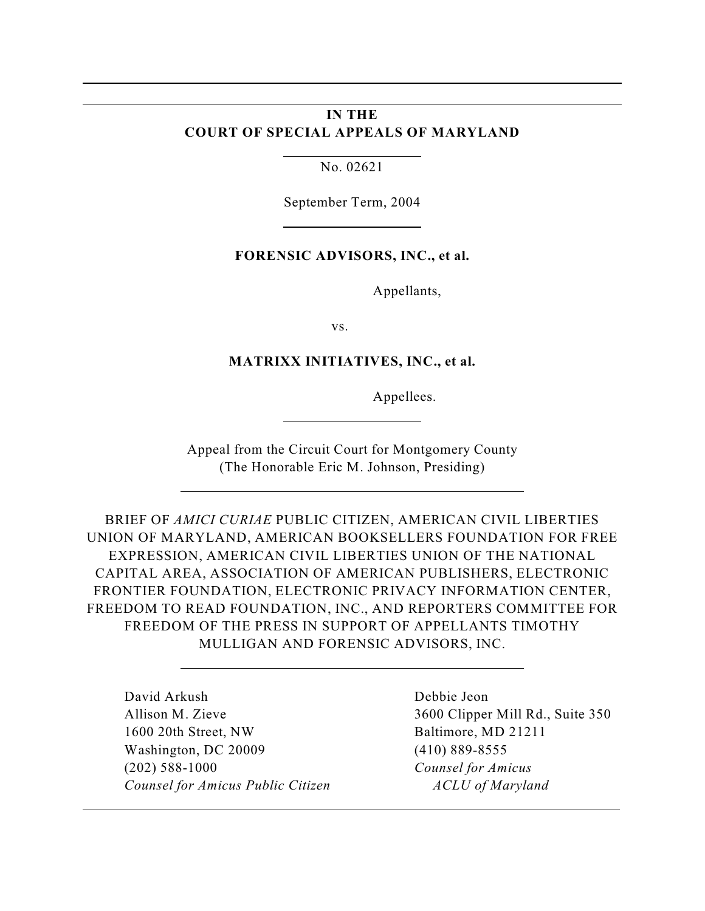# **IN THE COURT OF SPECIAL APPEALS OF MARYLAND**

No. 02621

l

l

 $\overline{a}$ 

September Term, 2004

### **FORENSIC ADVISORS, INC., et al.**

Appellants,

vs.

#### **MATRIXX INITIATIVES, INC., et al.**

Appellees.

Appeal from the Circuit Court for Montgomery County (The Honorable Eric M. Johnson, Presiding)

BRIEF OF *AMICI CURIAE* PUBLIC CITIZEN, AMERICAN CIVIL LIBERTIES UNION OF MARYLAND, AMERICAN BOOKSELLERS FOUNDATION FOR FREE EXPRESSION, AMERICAN CIVIL LIBERTIES UNION OF THE NATIONAL CAPITAL AREA, ASSOCIATION OF AMERICAN PUBLISHERS, ELECTRONIC FRONTIER FOUNDATION, ELECTRONIC PRIVACY INFORMATION CENTER, FREEDOM TO READ FOUNDATION, INC., AND REPORTERS COMMITTEE FOR FREEDOM OF THE PRESS IN SUPPORT OF APPELLANTS TIMOTHY MULLIGAN AND FORENSIC ADVISORS, INC.

David Arkush Debbie Jeon Allison M. Zieve 3600 Clipper Mill Rd., Suite 350 1600 20th Street, NW Baltimore, MD 21211 Washington, DC 20009 (410) 889-8555 (202) 588-1000 *Counsel for Amicus Counsel for Amicus Public Citizen ACLU of Maryland*

 $\overline{a}$ 

 $\overline{a}$ 

 $\overline{a}$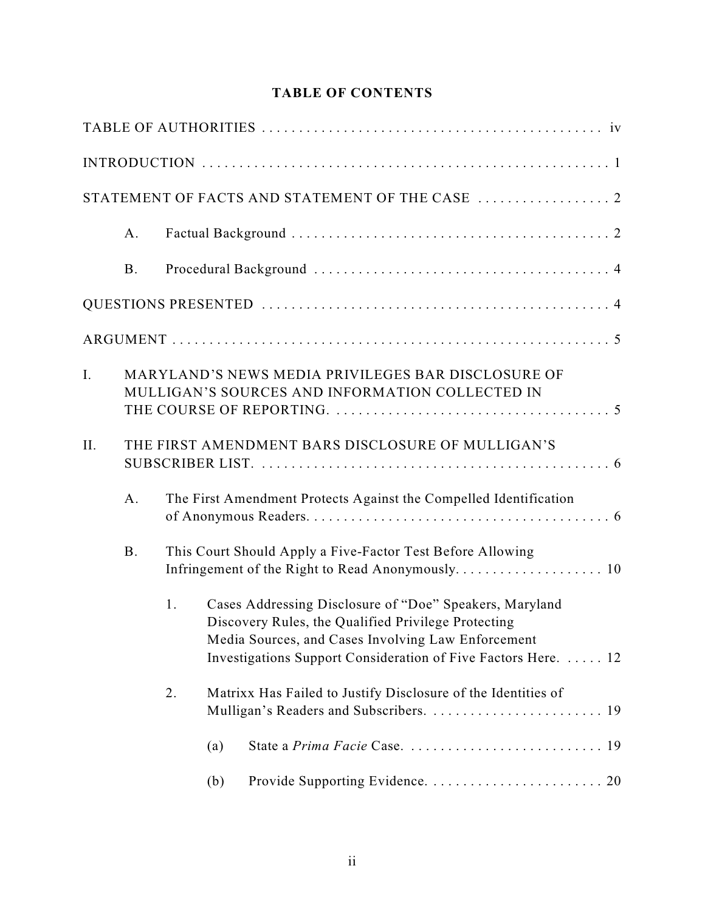# **TABLE OF CONTENTS**

|                |            |    |     | STATEMENT OF FACTS AND STATEMENT OF THE CASE  2                                                                                                                                                                                        |
|----------------|------------|----|-----|----------------------------------------------------------------------------------------------------------------------------------------------------------------------------------------------------------------------------------------|
|                | A.         |    |     |                                                                                                                                                                                                                                        |
|                | <b>B</b> . |    |     |                                                                                                                                                                                                                                        |
|                |            |    |     |                                                                                                                                                                                                                                        |
|                |            |    |     |                                                                                                                                                                                                                                        |
| $\mathbf{I}$ . |            |    |     | MARYLAND'S NEWS MEDIA PRIVILEGES BAR DISCLOSURE OF<br>MULLIGAN'S SOURCES AND INFORMATION COLLECTED IN                                                                                                                                  |
| II.            |            |    |     | THE FIRST AMENDMENT BARS DISCLOSURE OF MULLIGAN'S                                                                                                                                                                                      |
|                | A.         |    |     | The First Amendment Protects Against the Compelled Identification                                                                                                                                                                      |
|                | <b>B.</b>  |    |     | This Court Should Apply a Five-Factor Test Before Allowing                                                                                                                                                                             |
|                |            | 1. |     | Cases Addressing Disclosure of "Doe" Speakers, Maryland<br>Discovery Rules, the Qualified Privilege Protecting<br>Media Sources, and Cases Involving Law Enforcement<br>Investigations Support Consideration of Five Factors Here.  12 |
|                |            | 2. |     | Matrixx Has Failed to Justify Disclosure of the Identities of                                                                                                                                                                          |
|                |            |    | (a) |                                                                                                                                                                                                                                        |
|                |            |    | (b) |                                                                                                                                                                                                                                        |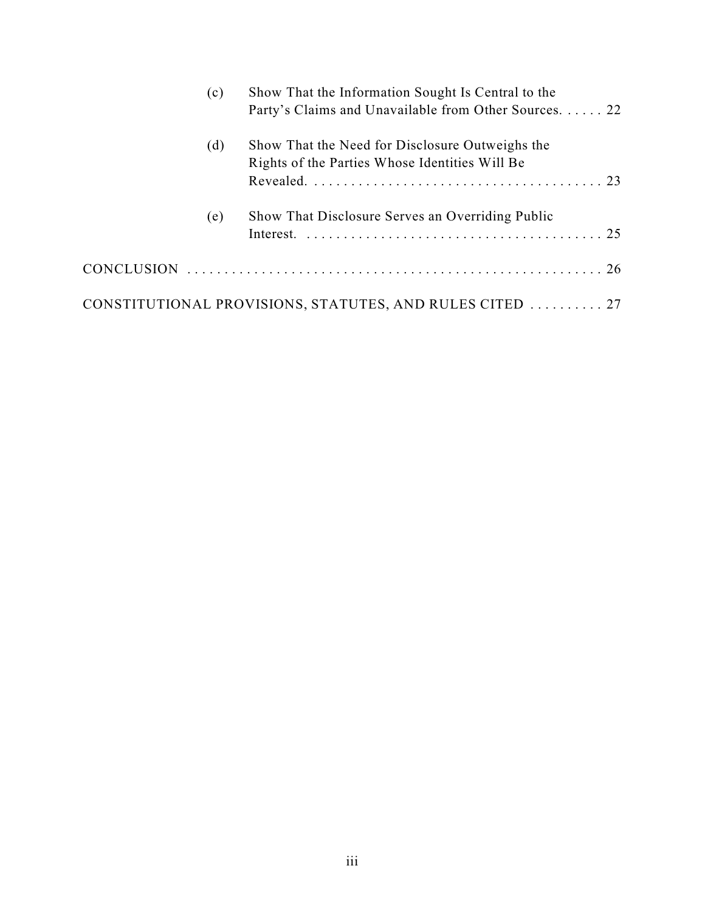| (c) | Show That the Information Sought Is Central to the<br>Party's Claims and Unavailable from Other Sources. 22 |
|-----|-------------------------------------------------------------------------------------------------------------|
| (d) | Show That the Need for Disclosure Outweighs the<br>Rights of the Parties Whose Identities Will Be           |
| (e) | Show That Disclosure Serves an Overriding Public                                                            |
|     |                                                                                                             |
|     | CONSTITUTIONAL PROVISIONS, STATUTES, AND RULES CITED  27                                                    |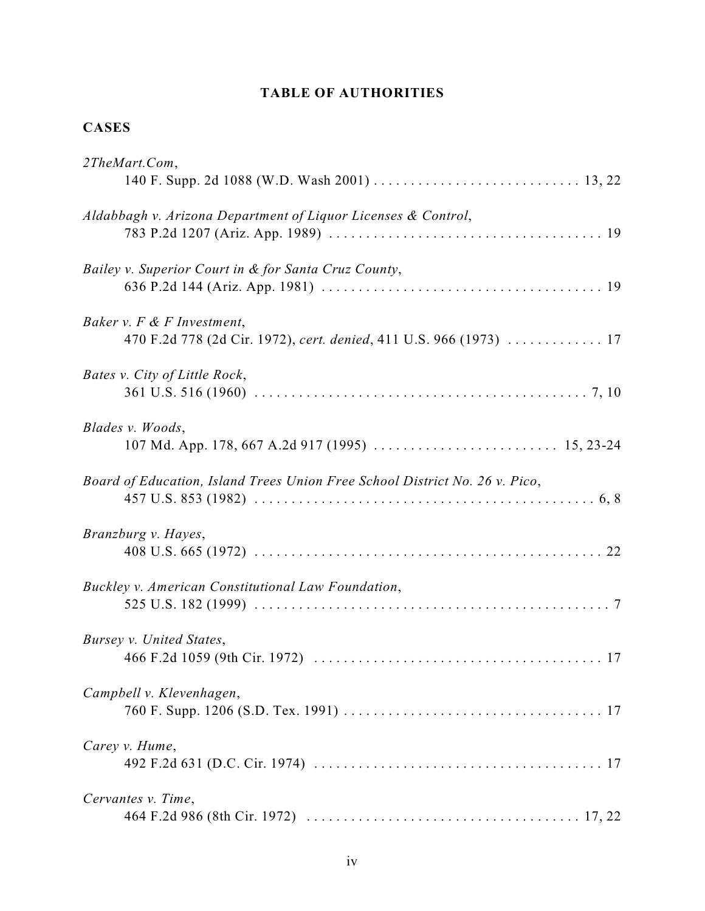# **TABLE OF AUTHORITIES**

# **CASES**

| 2TheMart.Com,                                                                                    |
|--------------------------------------------------------------------------------------------------|
| Aldabbagh v. Arizona Department of Liquor Licenses & Control,                                    |
| Bailey v. Superior Court in & for Santa Cruz County,                                             |
| Baker v. F & F Investment,<br>470 F.2d 778 (2d Cir. 1972), cert. denied, 411 U.S. 966 (1973)  17 |
| Bates v. City of Little Rock,                                                                    |
| Blades v. Woods,                                                                                 |
| Board of Education, Island Trees Union Free School District No. 26 v. Pico,                      |
| Branzburg v. Hayes,                                                                              |
| Buckley v. American Constitutional Law Foundation,                                               |
| Bursey v. United States,                                                                         |
| Campbell v. Klevenhagen,                                                                         |
| Carey v. Hume,                                                                                   |
| Cervantes v. Time,                                                                               |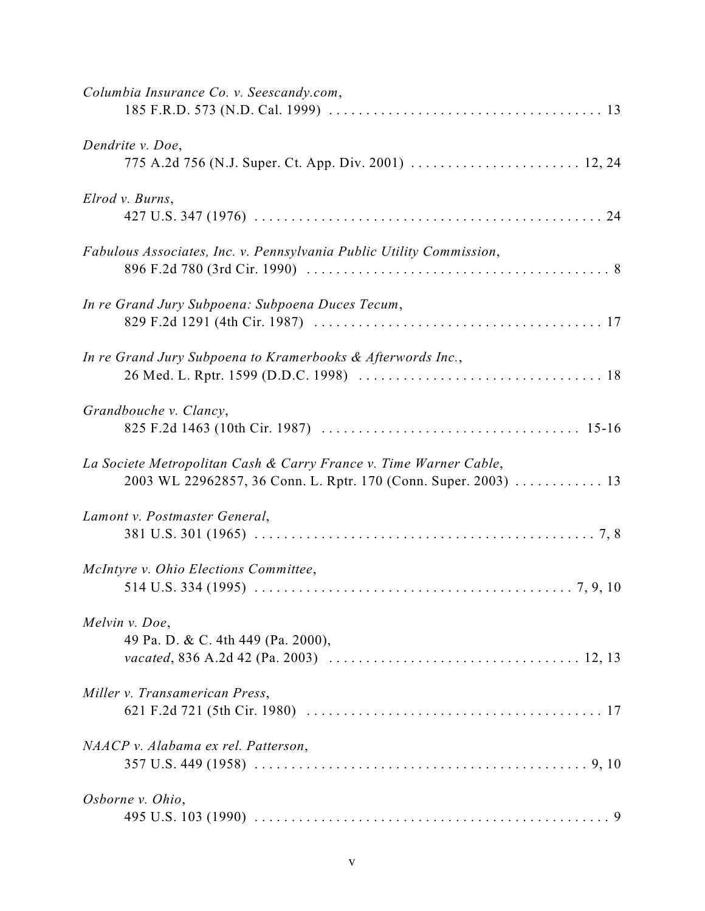| Columbia Insurance Co. v. Seescandy.com,                                                                                             |
|--------------------------------------------------------------------------------------------------------------------------------------|
| Dendrite v. Doe,                                                                                                                     |
| Elrod v. Burns,                                                                                                                      |
| Fabulous Associates, Inc. v. Pennsylvania Public Utility Commission,                                                                 |
| In re Grand Jury Subpoena: Subpoena Duces Tecum,                                                                                     |
| In re Grand Jury Subpoena to Kramerbooks & Afterwords Inc.,                                                                          |
| Grandbouche v. Clancy,                                                                                                               |
| La Societe Metropolitan Cash & Carry France v. Time Warner Cable,<br>2003 WL 22962857, 36 Conn. L. Rptr. 170 (Conn. Super. 2003)  13 |
| Lamont v. Postmaster General,                                                                                                        |
| McIntyre v. Ohio Elections Committee,                                                                                                |
| Melvin v. Doe,<br>49 Pa. D. & C. 4th 449 (Pa. 2000),                                                                                 |
| Miller v. Transamerican Press,                                                                                                       |
| NAACP v. Alabama ex rel. Patterson,                                                                                                  |
| Osborne v. Ohio,                                                                                                                     |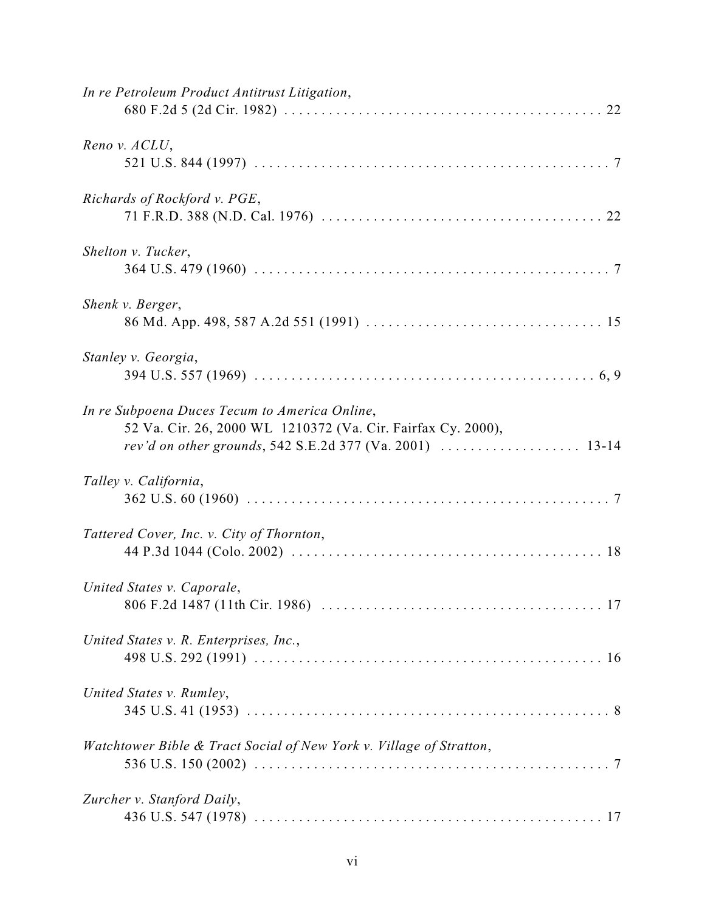| In re Petroleum Product Antitrust Litigation,                                                                                                                             |
|---------------------------------------------------------------------------------------------------------------------------------------------------------------------------|
| Reno v. ACLU,                                                                                                                                                             |
| Richards of Rockford v. PGE,                                                                                                                                              |
| Shelton v. Tucker,                                                                                                                                                        |
| Shenk v. Berger,                                                                                                                                                          |
| Stanley v. Georgia,                                                                                                                                                       |
| In re Subpoena Duces Tecum to America Online,<br>52 Va. Cir. 26, 2000 WL 1210372 (Va. Cir. Fairfax Cy. 2000),<br>rev'd on other grounds, 542 S.E.2d 377 (Va. 2001)  13-14 |
| Talley v. California,                                                                                                                                                     |
| Tattered Cover, Inc. v. City of Thornton,                                                                                                                                 |
| United States v. Caporale,                                                                                                                                                |
| United States v. R. Enterprises, Inc.,                                                                                                                                    |
| United States v. Rumley,                                                                                                                                                  |
| Watchtower Bible & Tract Social of New York v. Village of Stratton,                                                                                                       |
| Zurcher v. Stanford Daily,                                                                                                                                                |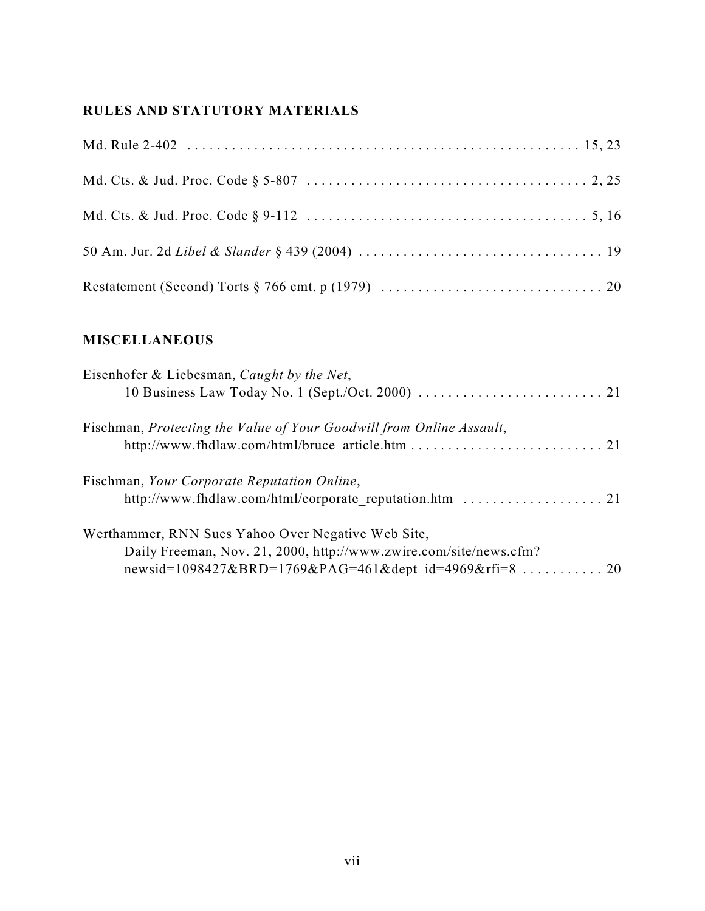# **RULES AND STATUTORY MATERIALS**

# **MISCELLANEOUS**

| Eisenhofer & Liebesman, Caught by the Net,                           |
|----------------------------------------------------------------------|
|                                                                      |
| Fischman, Protecting the Value of Your Goodwill from Online Assault, |
|                                                                      |
| Fischman, Your Corporate Reputation Online,                          |
|                                                                      |
| Werthammer, RNN Sues Yahoo Over Negative Web Site,                   |
| Daily Freeman, Nov. 21, 2000, http://www.zwire.com/site/news.cfm?    |
| newsid=1098427&BRD=1769&PAG=461&dept id=4969&rfi=8  20               |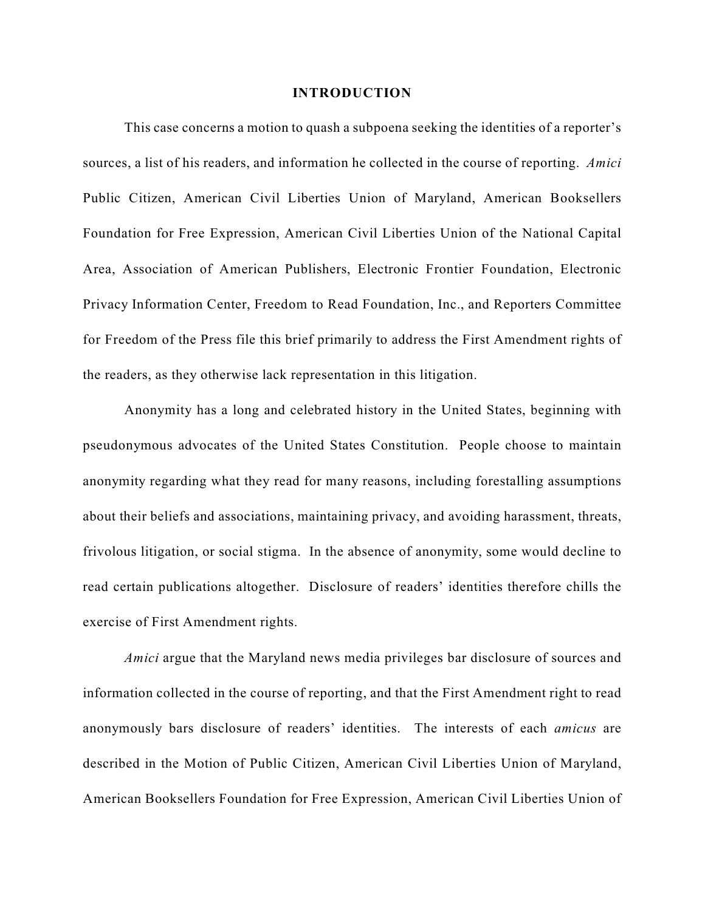#### **INTRODUCTION**

This case concerns a motion to quash a subpoena seeking the identities of a reporter's sources, a list of his readers, and information he collected in the course of reporting. *Amici* Public Citizen, American Civil Liberties Union of Maryland, American Booksellers Foundation for Free Expression, American Civil Liberties Union of the National Capital Area, Association of American Publishers, Electronic Frontier Foundation, Electronic Privacy Information Center, Freedom to Read Foundation, Inc., and Reporters Committee for Freedom of the Press file this brief primarily to address the First Amendment rights of the readers, as they otherwise lack representation in this litigation.

Anonymity has a long and celebrated history in the United States, beginning with pseudonymous advocates of the United States Constitution. People choose to maintain anonymity regarding what they read for many reasons, including forestalling assumptions about their beliefs and associations, maintaining privacy, and avoiding harassment, threats, frivolous litigation, or social stigma. In the absence of anonymity, some would decline to read certain publications altogether. Disclosure of readers' identities therefore chills the exercise of First Amendment rights.

*Amici* argue that the Maryland news media privileges bar disclosure of sources and information collected in the course of reporting, and that the First Amendment right to read anonymously bars disclosure of readers' identities. The interests of each *amicus* are described in the Motion of Public Citizen, American Civil Liberties Union of Maryland, American Booksellers Foundation for Free Expression, American Civil Liberties Union of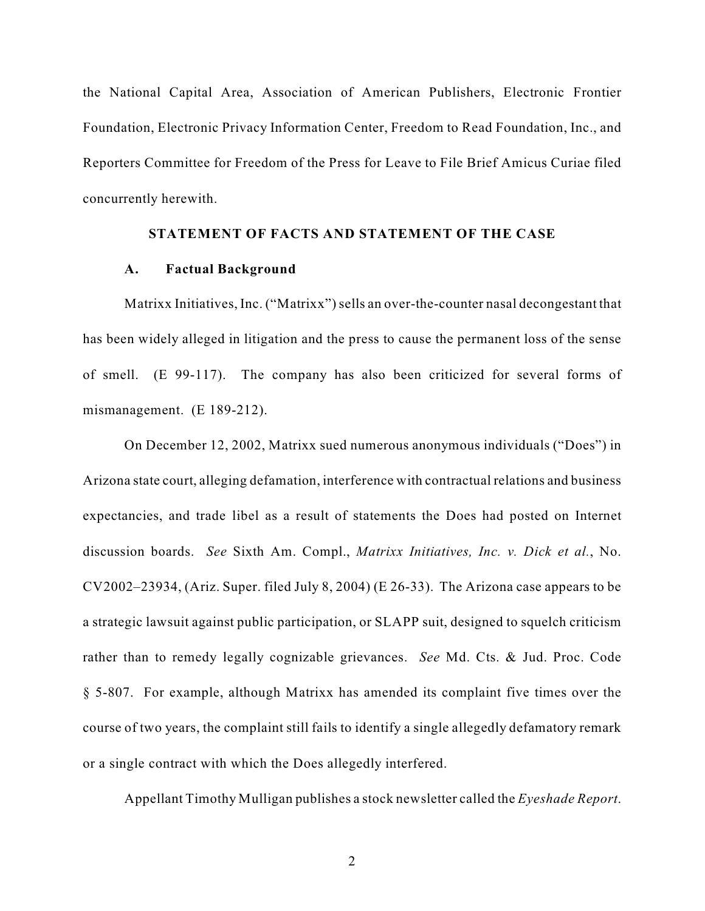the National Capital Area, Association of American Publishers, Electronic Frontier Foundation, Electronic Privacy Information Center, Freedom to Read Foundation, Inc., and Reporters Committee for Freedom of the Press for Leave to File Brief Amicus Curiae filed concurrently herewith.

### **STATEMENT OF FACTS AND STATEMENT OF THE CASE**

#### **A. Factual Background**

Matrixx Initiatives, Inc. ("Matrixx") sells an over-the-counter nasal decongestant that has been widely alleged in litigation and the press to cause the permanent loss of the sense of smell. (E 99-117). The company has also been criticized for several forms of mismanagement. (E 189-212).

On December 12, 2002, Matrixx sued numerous anonymous individuals ("Does") in Arizona state court, alleging defamation, interference with contractual relations and business expectancies, and trade libel as a result of statements the Does had posted on Internet discussion boards. *See* Sixth Am. Compl., *Matrixx Initiatives, Inc. v. Dick et al.*, No. CV2002–23934, (Ariz. Super. filed July 8, 2004) (E 26-33). The Arizona case appears to be a strategic lawsuit against public participation, or SLAPP suit, designed to squelch criticism rather than to remedy legally cognizable grievances. *See* Md. Cts. & Jud. Proc. Code § 5-807. For example, although Matrixx has amended its complaint five times over the course of two years, the complaint still fails to identify a single allegedly defamatory remark or a single contract with which the Does allegedly interfered.

Appellant Timothy Mulligan publishes a stock newsletter called the *Eyeshade Report*.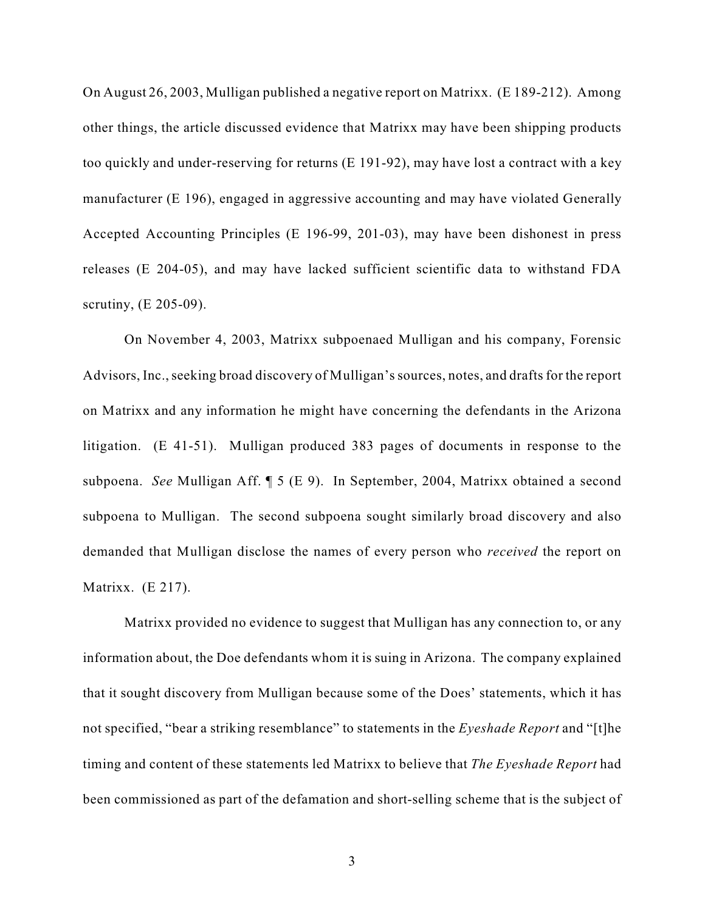On August 26, 2003, Mulligan published a negative report on Matrixx. (E 189-212). Among other things, the article discussed evidence that Matrixx may have been shipping products too quickly and under-reserving for returns (E 191-92), may have lost a contract with a key manufacturer (E 196), engaged in aggressive accounting and may have violated Generally Accepted Accounting Principles (E 196-99, 201-03), may have been dishonest in press releases (E 204-05), and may have lacked sufficient scientific data to withstand FDA scrutiny, (E 205-09).

On November 4, 2003, Matrixx subpoenaed Mulligan and his company, Forensic Advisors, Inc., seeking broad discovery of Mulligan's sources, notes, and drafts for the report on Matrixx and any information he might have concerning the defendants in the Arizona litigation. (E 41-51). Mulligan produced 383 pages of documents in response to the subpoena. *See* Mulligan Aff. ¶ 5 (E 9). In September, 2004, Matrixx obtained a second subpoena to Mulligan. The second subpoena sought similarly broad discovery and also demanded that Mulligan disclose the names of every person who *received* the report on Matrixx. (E 217).

Matrixx provided no evidence to suggest that Mulligan has any connection to, or any information about, the Doe defendants whom it is suing in Arizona. The company explained that it sought discovery from Mulligan because some of the Does' statements, which it has not specified, "bear a striking resemblance" to statements in the *Eyeshade Report* and "[t]he timing and content of these statements led Matrixx to believe that *The Eyeshade Report* had been commissioned as part of the defamation and short-selling scheme that is the subject of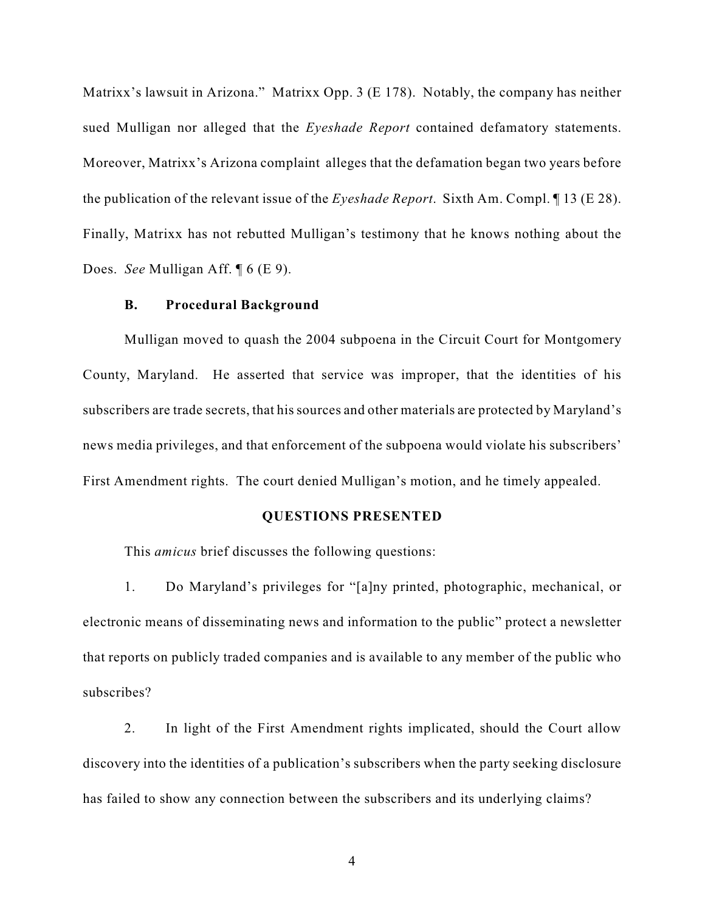Matrixx's lawsuit in Arizona." Matrixx Opp. 3 (E 178). Notably, the company has neither sued Mulligan nor alleged that the *Eyeshade Report* contained defamatory statements. Moreover, Matrixx's Arizona complaint alleges that the defamation began two years before the publication of the relevant issue of the *Eyeshade Report*. Sixth Am. Compl. ¶ 13 (E 28). Finally, Matrixx has not rebutted Mulligan's testimony that he knows nothing about the Does. *See* Mulligan Aff. ¶ 6 (E 9).

### **B. Procedural Background**

Mulligan moved to quash the 2004 subpoena in the Circuit Court for Montgomery County, Maryland. He asserted that service was improper, that the identities of his subscribers are trade secrets, that his sources and other materials are protected by Maryland's news media privileges, and that enforcement of the subpoena would violate his subscribers' First Amendment rights. The court denied Mulligan's motion, and he timely appealed.

### **QUESTIONS PRESENTED**

This *amicus* brief discusses the following questions:

1. Do Maryland's privileges for "[a]ny printed, photographic, mechanical, or electronic means of disseminating news and information to the public" protect a newsletter that reports on publicly traded companies and is available to any member of the public who subscribes?

2. In light of the First Amendment rights implicated, should the Court allow discovery into the identities of a publication's subscribers when the party seeking disclosure has failed to show any connection between the subscribers and its underlying claims?

4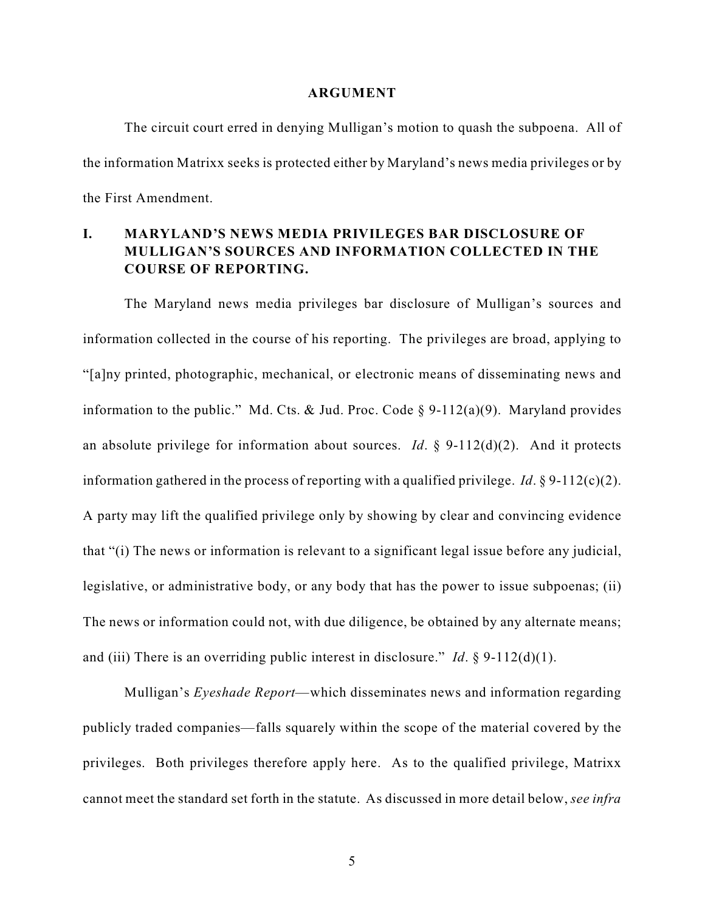#### **ARGUMENT**

The circuit court erred in denying Mulligan's motion to quash the subpoena. All of the information Matrixx seeks is protected either by Maryland's news media privileges or by the First Amendment.

## **I. MARYLAND'S NEWS MEDIA PRIVILEGES BAR DISCLOSURE OF MULLIGAN'S SOURCES AND INFORMATION COLLECTED IN THE COURSE OF REPORTING.**

The Maryland news media privileges bar disclosure of Mulligan's sources and information collected in the course of his reporting. The privileges are broad, applying to "[a]ny printed, photographic, mechanical, or electronic means of disseminating news and information to the public." Md. Cts. & Jud. Proc. Code  $\S$  9-112(a)(9). Maryland provides an absolute privilege for information about sources. *Id.*  $\S$  9-112(d)(2). And it protects information gathered in the process of reporting with a qualified privilege. *Id*. § 9-112(c)(2). A party may lift the qualified privilege only by showing by clear and convincing evidence that "(i) The news or information is relevant to a significant legal issue before any judicial, legislative, or administrative body, or any body that has the power to issue subpoenas; (ii) The news or information could not, with due diligence, be obtained by any alternate means; and (iii) There is an overriding public interest in disclosure." *Id*. § 9-112(d)(1).

Mulligan's *Eyeshade Report*—which disseminates news and information regarding publicly traded companies—falls squarely within the scope of the material covered by the privileges. Both privileges therefore apply here. As to the qualified privilege, Matrixx cannot meet the standard set forth in the statute. As discussed in more detail below, *see infra*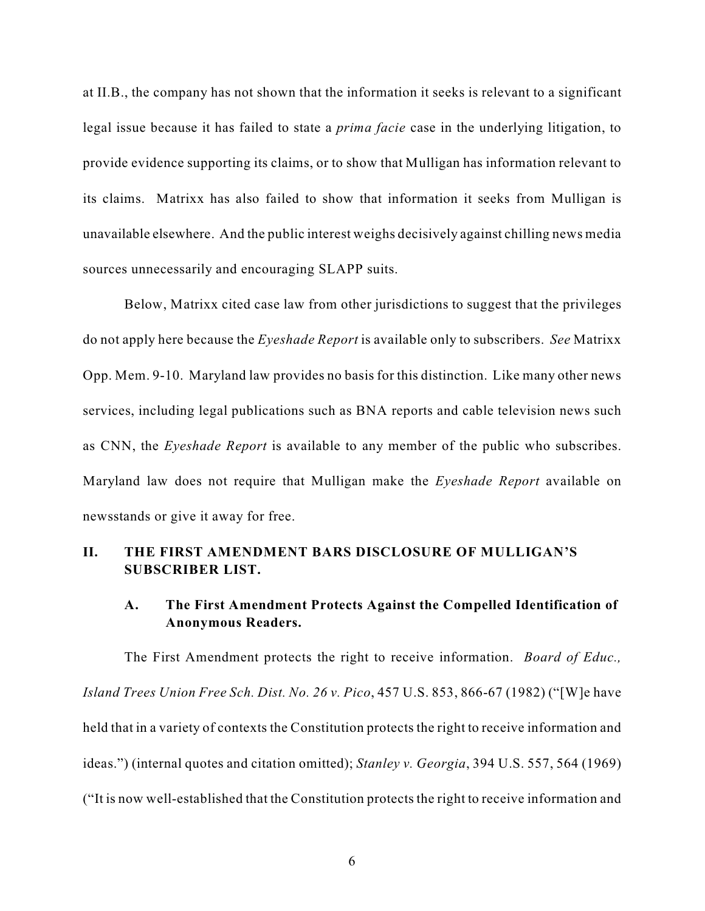at II.B., the company has not shown that the information it seeks is relevant to a significant legal issue because it has failed to state a *prima facie* case in the underlying litigation, to provide evidence supporting its claims, or to show that Mulligan has information relevant to its claims. Matrixx has also failed to show that information it seeks from Mulligan is unavailable elsewhere. And the public interest weighs decisively against chilling news media sources unnecessarily and encouraging SLAPP suits.

Below, Matrixx cited case law from other jurisdictions to suggest that the privileges do not apply here because the *Eyeshade Report* is available only to subscribers. *See* Matrixx Opp. Mem. 9-10. Maryland law provides no basis for this distinction. Like many other news services, including legal publications such as BNA reports and cable television news such as CNN, the *Eyeshade Report* is available to any member of the public who subscribes. Maryland law does not require that Mulligan make the *Eyeshade Report* available on newsstands or give it away for free.

## **II. THE FIRST AMENDMENT BARS DISCLOSURE OF MULLIGAN'S SUBSCRIBER LIST.**

## **A. The First Amendment Protects Against the Compelled Identification of Anonymous Readers.**

The First Amendment protects the right to receive information. *Board of Educ., Island Trees Union Free Sch. Dist. No. 26 v. Pico*, 457 U.S. 853, 866-67 (1982) ("[W]e have held that in a variety of contexts the Constitution protects the right to receive information and ideas.") (internal quotes and citation omitted); *Stanley v. Georgia*, 394 U.S. 557, 564 (1969) ("It is now well-established that the Constitution protects the right to receive information and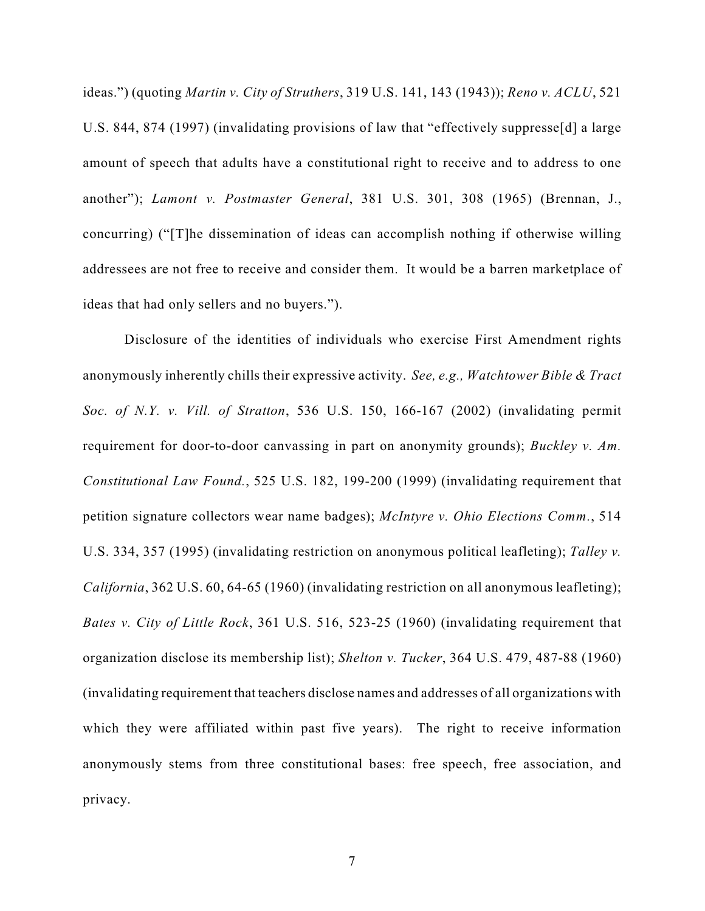ideas.") (quoting *Martin v. City of Struthers*, 319 U.S. 141, 143 (1943)); *Reno v. ACLU*, 521 U.S. 844, 874 (1997) (invalidating provisions of law that "effectively suppresse[d] a large amount of speech that adults have a constitutional right to receive and to address to one another"); *Lamont v. Postmaster General*, 381 U.S. 301, 308 (1965) (Brennan, J., concurring) ("[T]he dissemination of ideas can accomplish nothing if otherwise willing addressees are not free to receive and consider them. It would be a barren marketplace of ideas that had only sellers and no buyers.").

Disclosure of the identities of individuals who exercise First Amendment rights anonymously inherently chills their expressive activity. *See, e.g., Watchtower Bible & Tract Soc. of N.Y. v. Vill. of Stratton*, 536 U.S. 150, 166-167 (2002) (invalidating permit requirement for door-to-door canvassing in part on anonymity grounds); *Buckley v. Am. Constitutional Law Found.*, 525 U.S. 182, 199-200 (1999) (invalidating requirement that petition signature collectors wear name badges); *McIntyre v. Ohio Elections Comm.*, 514 U.S. 334, 357 (1995) (invalidating restriction on anonymous political leafleting); *Talley v. California*, 362 U.S. 60, 64-65 (1960) (invalidating restriction on all anonymous leafleting); *Bates v. City of Little Rock*, 361 U.S. 516, 523-25 (1960) (invalidating requirement that organization disclose its membership list); *Shelton v. Tucker*, 364 U.S. 479, 487-88 (1960) (invalidating requirement that teachers disclose names and addresses of all organizations with which they were affiliated within past five years). The right to receive information anonymously stems from three constitutional bases: free speech, free association, and privacy.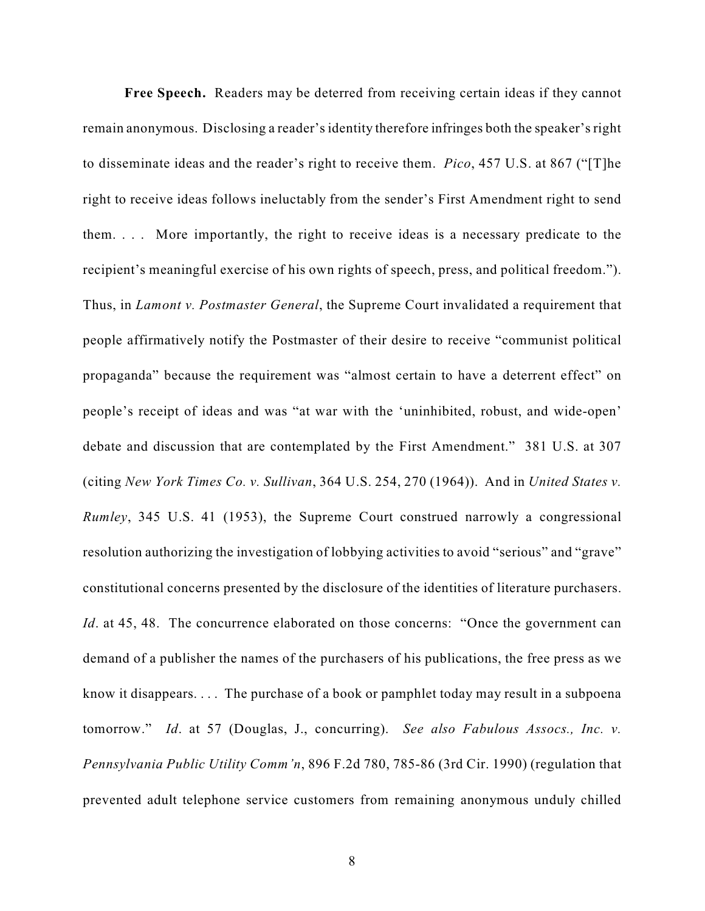**Free Speech.** Readers may be deterred from receiving certain ideas if they cannot remain anonymous. Disclosing a reader's identity therefore infringes both the speaker's right to disseminate ideas and the reader's right to receive them. *Pico*, 457 U.S. at 867 ("[T]he right to receive ideas follows ineluctably from the sender's First Amendment right to send them. . . . More importantly, the right to receive ideas is a necessary predicate to the recipient's meaningful exercise of his own rights of speech, press, and political freedom."). Thus, in *Lamont v. Postmaster General*, the Supreme Court invalidated a requirement that people affirmatively notify the Postmaster of their desire to receive "communist political propaganda" because the requirement was "almost certain to have a deterrent effect" on people's receipt of ideas and was "at war with the 'uninhibited, robust, and wide-open' debate and discussion that are contemplated by the First Amendment." 381 U.S. at 307 (citing *New York Times Co. v. Sullivan*, 364 U.S. 254, 270 (1964)). And in *United States v. Rumley*, 345 U.S. 41 (1953), the Supreme Court construed narrowly a congressional resolution authorizing the investigation of lobbying activities to avoid "serious" and "grave" constitutional concerns presented by the disclosure of the identities of literature purchasers. *Id.* at 45, 48. The concurrence elaborated on those concerns: "Once the government can demand of a publisher the names of the purchasers of his publications, the free press as we know it disappears. . . . The purchase of a book or pamphlet today may result in a subpoena tomorrow." *Id*. at 57 (Douglas, J., concurring). *See also Fabulous Assocs., Inc. v. Pennsylvania Public Utility Comm'n*, 896 F.2d 780, 785-86 (3rd Cir. 1990) (regulation that prevented adult telephone service customers from remaining anonymous unduly chilled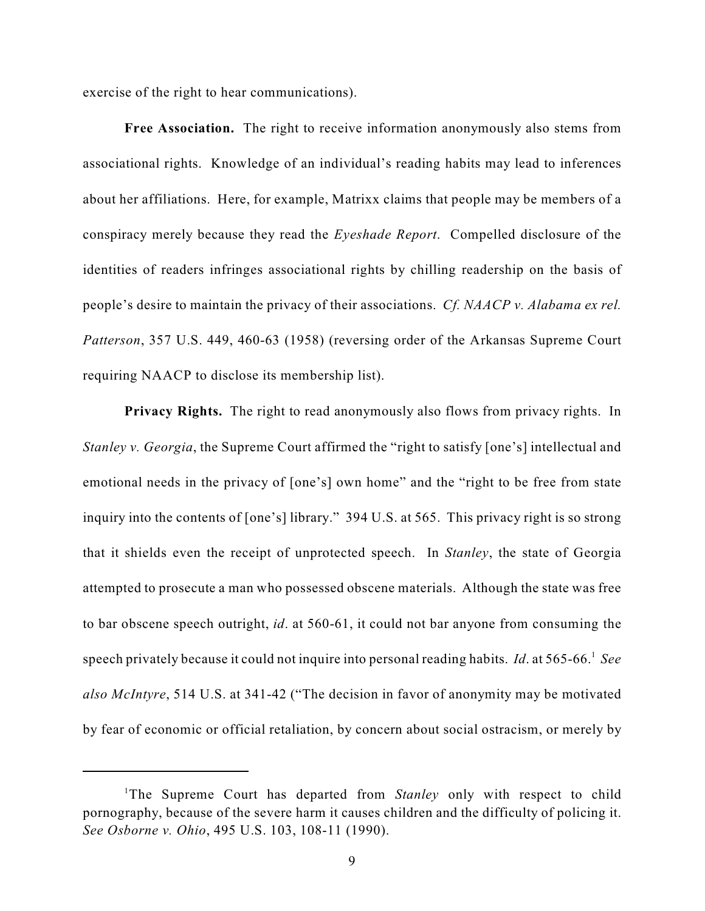exercise of the right to hear communications).

**Free Association.** The right to receive information anonymously also stems from associational rights. Knowledge of an individual's reading habits may lead to inferences about her affiliations. Here, for example, Matrixx claims that people may be members of a conspiracy merely because they read the *Eyeshade Report*. Compelled disclosure of the identities of readers infringes associational rights by chilling readership on the basis of people's desire to maintain the privacy of their associations. *Cf. NAACP v. Alabama ex rel. Patterson*, 357 U.S. 449, 460-63 (1958) (reversing order of the Arkansas Supreme Court requiring NAACP to disclose its membership list).

**Privacy Rights.** The right to read anonymously also flows from privacy rights. In *Stanley v. Georgia*, the Supreme Court affirmed the "right to satisfy [one's] intellectual and emotional needs in the privacy of [one's] own home" and the "right to be free from state inquiry into the contents of [one's] library." 394 U.S. at 565. This privacy right is so strong that it shields even the receipt of unprotected speech. In *Stanley*, the state of Georgia attempted to prosecute a man who possessed obscene materials. Although the state was free to bar obscene speech outright, *id*. at 560-61, it could not bar anyone from consuming the speech privately because it could not inquire into personal reading habits. *Id*. at 565-66. *See* <sup>1</sup> *also McIntyre*, 514 U.S. at 341-42 ("The decision in favor of anonymity may be motivated by fear of economic or official retaliation, by concern about social ostracism, or merely by

<sup>&</sup>lt;sup>1</sup>The Supreme Court has departed from *Stanley* only with respect to child pornography, because of the severe harm it causes children and the difficulty of policing it. *See Osborne v. Ohio*, 495 U.S. 103, 108-11 (1990).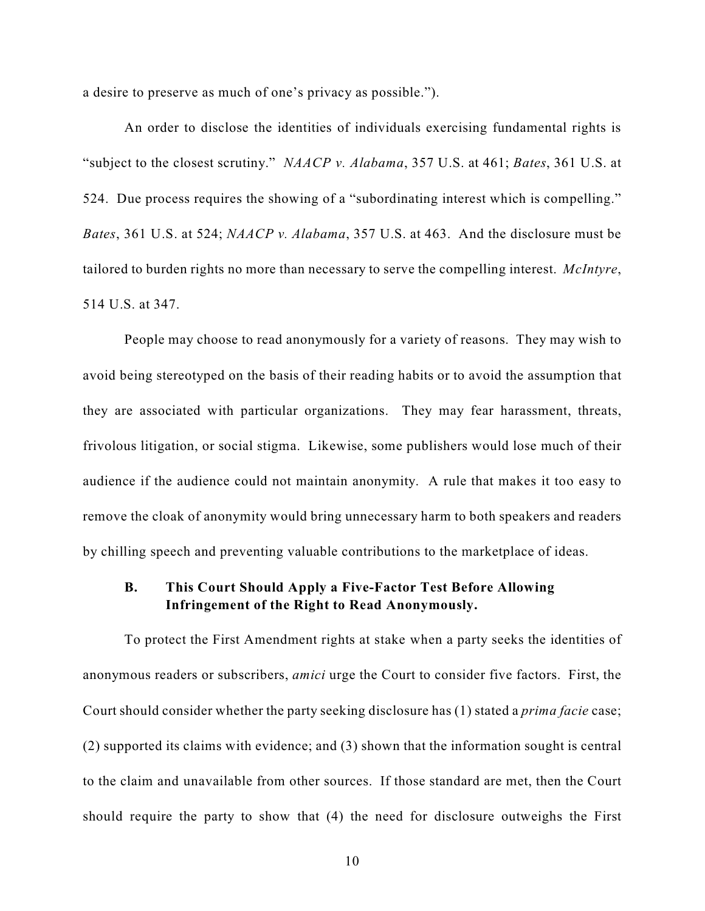a desire to preserve as much of one's privacy as possible.").

An order to disclose the identities of individuals exercising fundamental rights is "subject to the closest scrutiny." *NAACP v. Alabama*, 357 U.S. at 461; *Bates*, 361 U.S. at 524. Due process requires the showing of a "subordinating interest which is compelling." *Bates*, 361 U.S. at 524; *NAACP v. Alabama*, 357 U.S. at 463. And the disclosure must be tailored to burden rights no more than necessary to serve the compelling interest. *McIntyre*, 514 U.S. at 347.

People may choose to read anonymously for a variety of reasons. They may wish to avoid being stereotyped on the basis of their reading habits or to avoid the assumption that they are associated with particular organizations. They may fear harassment, threats, frivolous litigation, or social stigma. Likewise, some publishers would lose much of their audience if the audience could not maintain anonymity. A rule that makes it too easy to remove the cloak of anonymity would bring unnecessary harm to both speakers and readers by chilling speech and preventing valuable contributions to the marketplace of ideas.

## **B. This Court Should Apply a Five-Factor Test Before Allowing Infringement of the Right to Read Anonymously.**

To protect the First Amendment rights at stake when a party seeks the identities of anonymous readers or subscribers, *amici* urge the Court to consider five factors. First, the Court should consider whether the party seeking disclosure has (1) stated a *prima facie* case; (2) supported its claims with evidence; and (3) shown that the information sought is central to the claim and unavailable from other sources. If those standard are met, then the Court should require the party to show that (4) the need for disclosure outweighs the First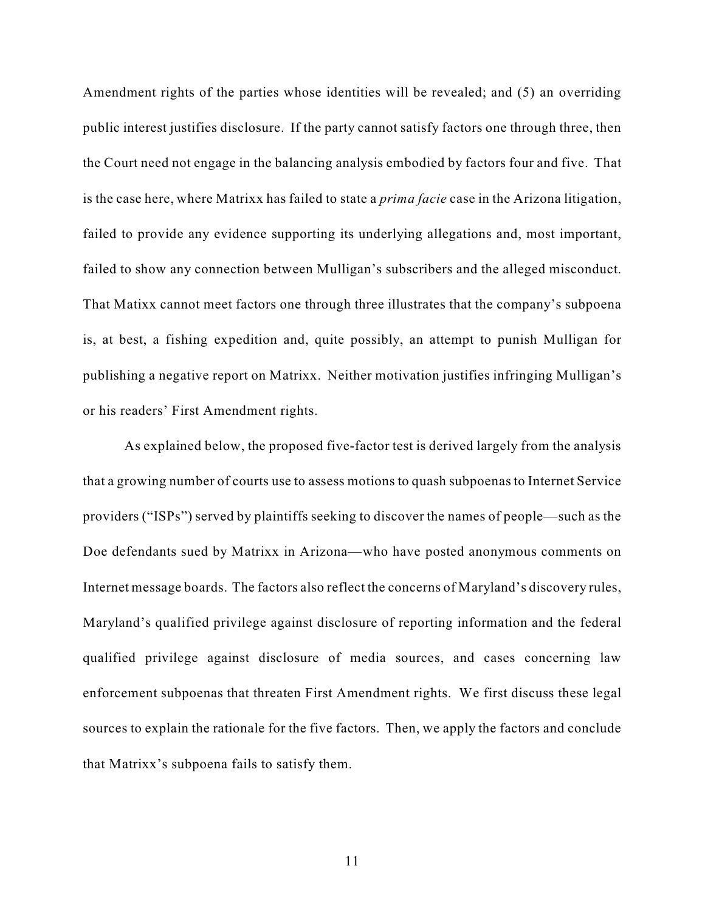Amendment rights of the parties whose identities will be revealed; and (5) an overriding public interest justifies disclosure. If the party cannot satisfy factors one through three, then the Court need not engage in the balancing analysis embodied by factors four and five. That is the case here, where Matrixx has failed to state a *prima facie* case in the Arizona litigation, failed to provide any evidence supporting its underlying allegations and, most important, failed to show any connection between Mulligan's subscribers and the alleged misconduct. That Matixx cannot meet factors one through three illustrates that the company's subpoena is, at best, a fishing expedition and, quite possibly, an attempt to punish Mulligan for publishing a negative report on Matrixx. Neither motivation justifies infringing Mulligan's or his readers' First Amendment rights.

As explained below, the proposed five-factor test is derived largely from the analysis that a growing number of courts use to assess motions to quash subpoenas to Internet Service providers ("ISPs") served by plaintiffs seeking to discover the names of people—such as the Doe defendants sued by Matrixx in Arizona—who have posted anonymous comments on Internet message boards. The factors also reflect the concerns of Maryland's discovery rules, Maryland's qualified privilege against disclosure of reporting information and the federal qualified privilege against disclosure of media sources, and cases concerning law enforcement subpoenas that threaten First Amendment rights. We first discuss these legal sources to explain the rationale for the five factors. Then, we apply the factors and conclude that Matrixx's subpoena fails to satisfy them.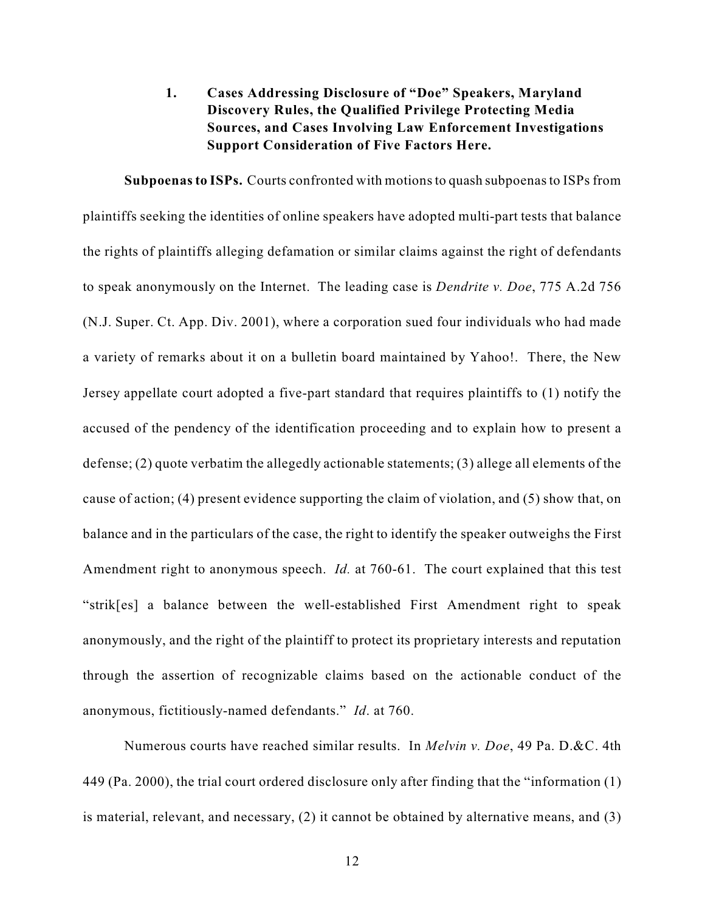# **1. Cases Addressing Disclosure of "Doe" Speakers, Maryland Discovery Rules, the Qualified Privilege Protecting Media Sources, and Cases Involving Law Enforcement Investigations Support Consideration of Five Factors Here.**

**Subpoenas to ISPs.** Courts confronted with motions to quash subpoenas to ISPs from plaintiffs seeking the identities of online speakers have adopted multi-part tests that balance the rights of plaintiffs alleging defamation or similar claims against the right of defendants to speak anonymously on the Internet. The leading case is *Dendrite v. Doe*, 775 A.2d 756 (N.J. Super. Ct. App. Div. 2001), where a corporation sued four individuals who had made a variety of remarks about it on a bulletin board maintained by Yahoo!. There, the New Jersey appellate court adopted a five-part standard that requires plaintiffs to (1) notify the accused of the pendency of the identification proceeding and to explain how to present a defense; (2) quote verbatim the allegedly actionable statements; (3) allege all elements of the cause of action; (4) present evidence supporting the claim of violation, and (5) show that, on balance and in the particulars of the case, the right to identify the speaker outweighs the First Amendment right to anonymous speech. *Id.* at 760-61. The court explained that this test "strik[es] a balance between the well-established First Amendment right to speak anonymously, and the right of the plaintiff to protect its proprietary interests and reputation through the assertion of recognizable claims based on the actionable conduct of the anonymous, fictitiously-named defendants." *Id*. at 760.

Numerous courts have reached similar results. In *Melvin v. Doe*, 49 Pa. D.&C. 4th 449 (Pa. 2000), the trial court ordered disclosure only after finding that the "information (1) is material, relevant, and necessary, (2) it cannot be obtained by alternative means, and (3)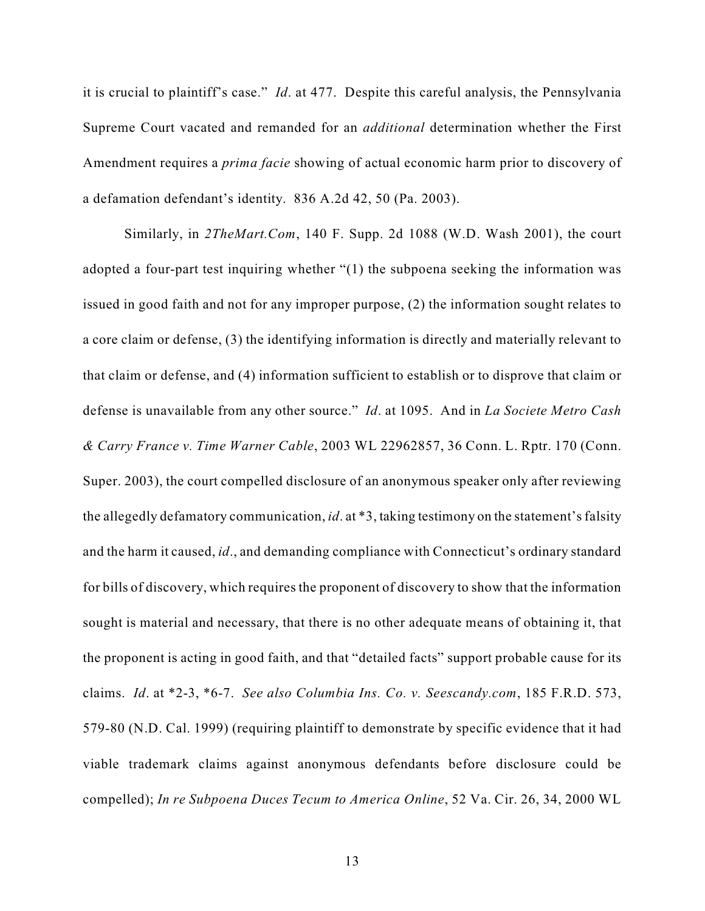it is crucial to plaintiff's case." *Id*. at 477. Despite this careful analysis, the Pennsylvania Supreme Court vacated and remanded for an *additional* determination whether the First Amendment requires a *prima facie* showing of actual economic harm prior to discovery of a defamation defendant's identity. 836 A.2d 42, 50 (Pa. 2003).

Similarly, in *2TheMart.Com*, 140 F. Supp. 2d 1088 (W.D. Wash 2001), the court adopted a four-part test inquiring whether "(1) the subpoena seeking the information was issued in good faith and not for any improper purpose, (2) the information sought relates to a core claim or defense, (3) the identifying information is directly and materially relevant to that claim or defense, and (4) information sufficient to establish or to disprove that claim or defense is unavailable from any other source." *Id*. at 1095. And in *La Societe Metro Cash & Carry France v. Time Warner Cable*, 2003 WL 22962857, 36 Conn. L. Rptr. 170 (Conn. Super. 2003), the court compelled disclosure of an anonymous speaker only after reviewing the allegedly defamatory communication, *id*. at \*3, taking testimony on the statement's falsity and the harm it caused, *id*., and demanding compliance with Connecticut's ordinary standard for bills of discovery, which requires the proponent of discovery to show that the information sought is material and necessary, that there is no other adequate means of obtaining it, that the proponent is acting in good faith, and that "detailed facts" support probable cause for its claims. *Id*. at \*2-3, \*6-7. *See also Columbia Ins. Co. v. Seescandy.com*, 185 F.R.D. 573, 579-80 (N.D. Cal. 1999) (requiring plaintiff to demonstrate by specific evidence that it had viable trademark claims against anonymous defendants before disclosure could be compelled); *In re Subpoena Duces Tecum to America Online*, 52 Va. Cir. 26, 34, 2000 WL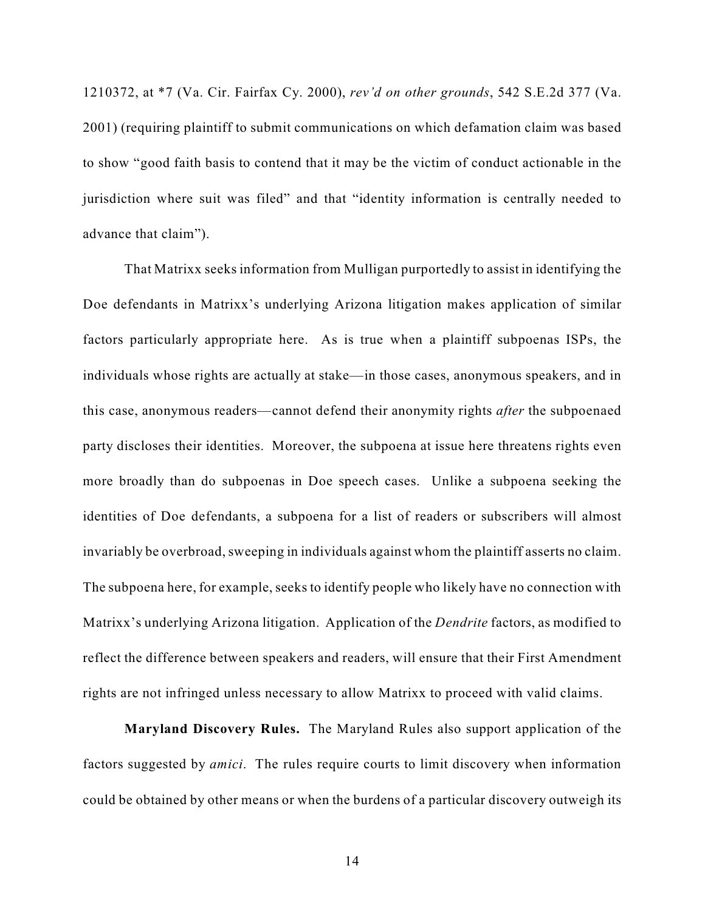1210372, at \*7 (Va. Cir. Fairfax Cy. 2000), *rev'd on other grounds*, 542 S.E.2d 377 (Va. 2001) (requiring plaintiff to submit communications on which defamation claim was based to show "good faith basis to contend that it may be the victim of conduct actionable in the jurisdiction where suit was filed" and that "identity information is centrally needed to advance that claim").

That Matrixx seeks information from Mulligan purportedly to assist in identifying the Doe defendants in Matrixx's underlying Arizona litigation makes application of similar factors particularly appropriate here. As is true when a plaintiff subpoenas ISPs, the individuals whose rights are actually at stake—in those cases, anonymous speakers, and in this case, anonymous readers—cannot defend their anonymity rights *after* the subpoenaed party discloses their identities. Moreover, the subpoena at issue here threatens rights even more broadly than do subpoenas in Doe speech cases. Unlike a subpoena seeking the identities of Doe defendants, a subpoena for a list of readers or subscribers will almost invariably be overbroad, sweeping in individuals against whom the plaintiff asserts no claim. The subpoena here, for example, seeks to identify people who likely have no connection with Matrixx's underlying Arizona litigation. Application of the *Dendrite* factors, as modified to reflect the difference between speakers and readers, will ensure that their First Amendment rights are not infringed unless necessary to allow Matrixx to proceed with valid claims.

**Maryland Discovery Rules.** The Maryland Rules also support application of the factors suggested by *amici*. The rules require courts to limit discovery when information could be obtained by other means or when the burdens of a particular discovery outweigh its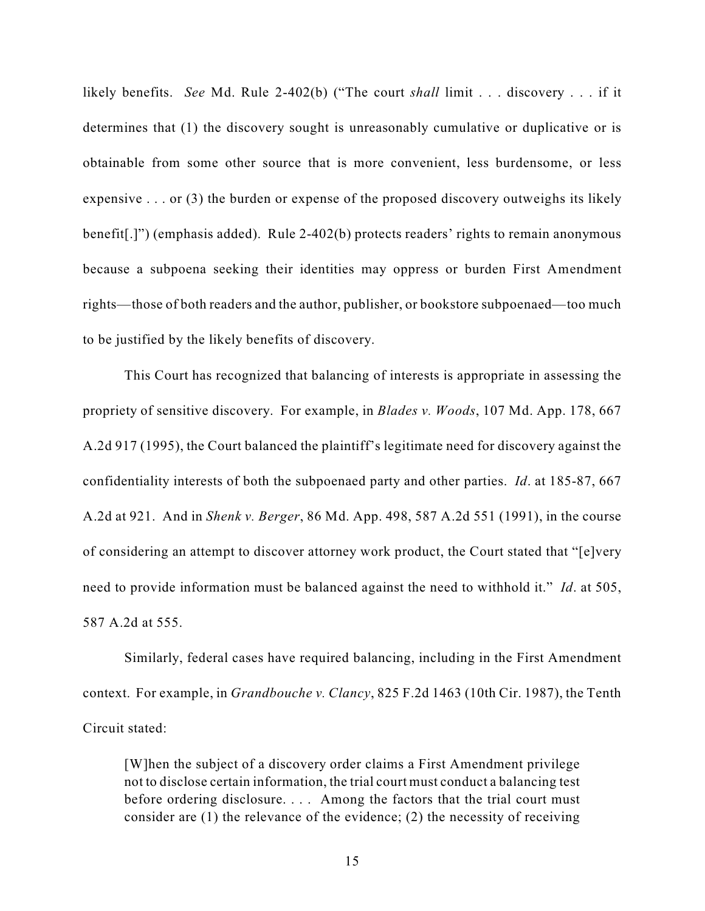likely benefits. *See* Md. Rule 2-402(b) ("The court *shall* limit . . . discovery . . . if it determines that (1) the discovery sought is unreasonably cumulative or duplicative or is obtainable from some other source that is more convenient, less burdensome, or less expensive . . . or (3) the burden or expense of the proposed discovery outweighs its likely benefit[.]") (emphasis added). Rule 2-402(b) protects readers' rights to remain anonymous because a subpoena seeking their identities may oppress or burden First Amendment rights—those of both readers and the author, publisher, or bookstore subpoenaed—too much to be justified by the likely benefits of discovery.

This Court has recognized that balancing of interests is appropriate in assessing the propriety of sensitive discovery. For example, in *Blades v. Woods*, 107 Md. App. 178, 667 A.2d 917 (1995), the Court balanced the plaintiff's legitimate need for discovery against the confidentiality interests of both the subpoenaed party and other parties. *Id*. at 185-87, 667 A.2d at 921. And in *Shenk v. Berger*, 86 Md. App. 498, 587 A.2d 551 (1991), in the course of considering an attempt to discover attorney work product, the Court stated that "[e]very need to provide information must be balanced against the need to withhold it." *Id*. at 505, 587 A.2d at 555.

Similarly, federal cases have required balancing, including in the First Amendment context. For example, in *Grandbouche v. Clancy*, 825 F.2d 1463 (10th Cir. 1987), the Tenth Circuit stated:

[W]hen the subject of a discovery order claims a First Amendment privilege not to disclose certain information, the trial court must conduct a balancing test before ordering disclosure. . . . Among the factors that the trial court must consider are (1) the relevance of the evidence; (2) the necessity of receiving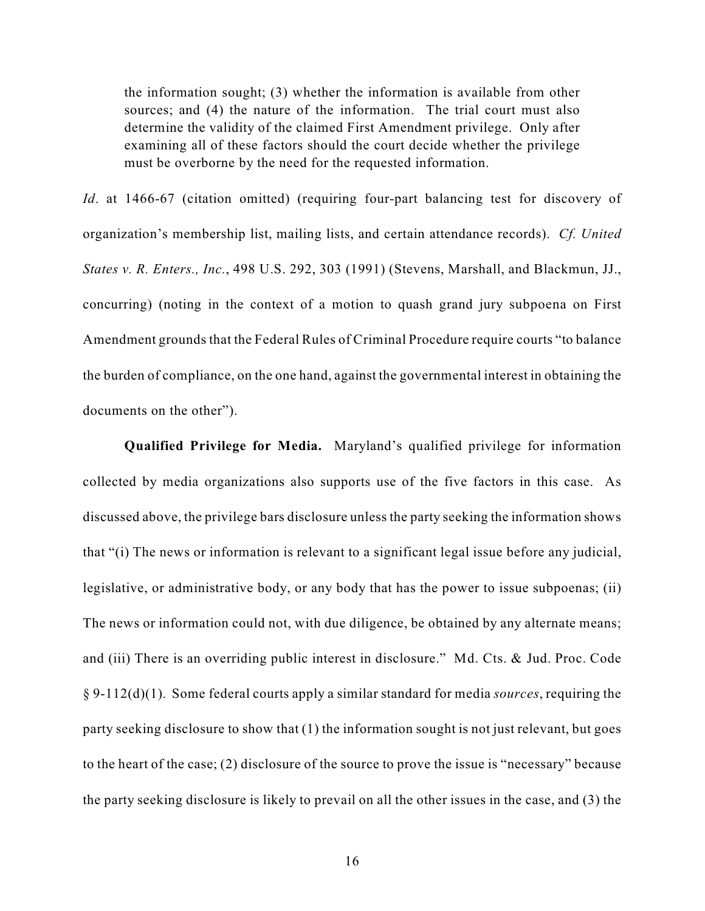the information sought; (3) whether the information is available from other sources; and (4) the nature of the information. The trial court must also determine the validity of the claimed First Amendment privilege. Only after examining all of these factors should the court decide whether the privilege must be overborne by the need for the requested information.

*Id.* at 1466-67 (citation omitted) (requiring four-part balancing test for discovery of organization's membership list, mailing lists, and certain attendance records). *Cf. United States v. R. Enters., Inc.*, 498 U.S. 292, 303 (1991) (Stevens, Marshall, and Blackmun, JJ., concurring) (noting in the context of a motion to quash grand jury subpoena on First Amendment grounds that the Federal Rules of Criminal Procedure require courts "to balance the burden of compliance, on the one hand, against the governmental interest in obtaining the documents on the other").

**Qualified Privilege for Media.** Maryland's qualified privilege for information collected by media organizations also supports use of the five factors in this case. As discussed above, the privilege bars disclosure unless the party seeking the information shows that "(i) The news or information is relevant to a significant legal issue before any judicial, legislative, or administrative body, or any body that has the power to issue subpoenas; (ii) The news or information could not, with due diligence, be obtained by any alternate means; and (iii) There is an overriding public interest in disclosure." Md. Cts. & Jud. Proc. Code § 9-112(d)(1). Some federal courts apply a similar standard for media *sources*, requiring the party seeking disclosure to show that (1) the information sought is not just relevant, but goes to the heart of the case; (2) disclosure of the source to prove the issue is "necessary" because the party seeking disclosure is likely to prevail on all the other issues in the case, and (3) the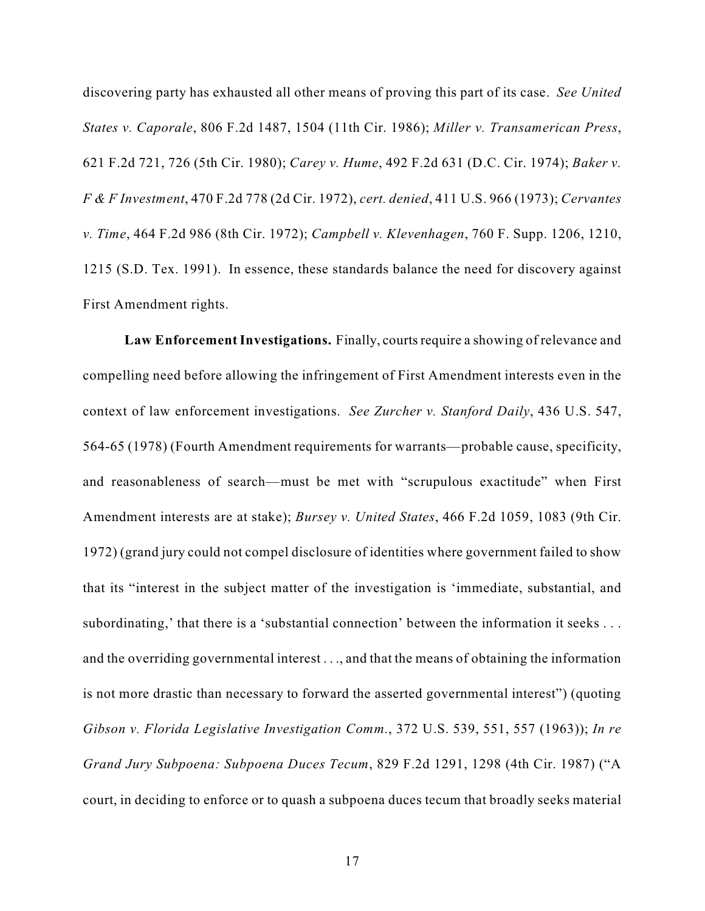discovering party has exhausted all other means of proving this part of its case. *See United States v. Caporale*, 806 F.2d 1487, 1504 (11th Cir. 1986); *Miller v. Transamerican Press*, 621 F.2d 721, 726 (5th Cir. 1980); *Carey v. Hume*, 492 F.2d 631 (D.C. Cir. 1974); *Baker v. F & F Investment*, 470 F.2d 778 (2d Cir. 1972), *cert. denied*, 411 U.S. 966 (1973); *Cervantes v. Time*, 464 F.2d 986 (8th Cir. 1972); *Campbell v. Klevenhagen*, 760 F. Supp. 1206, 1210, 1215 (S.D. Tex. 1991). In essence, these standards balance the need for discovery against First Amendment rights.

**Law Enforcement Investigations.** Finally, courts require a showing of relevance and compelling need before allowing the infringement of First Amendment interests even in the context of law enforcement investigations. *See Zurcher v. Stanford Daily*, 436 U.S. 547, 564-65 (1978) (Fourth Amendment requirements for warrants—probable cause, specificity, and reasonableness of search—must be met with "scrupulous exactitude" when First Amendment interests are at stake); *Bursey v. United States*, 466 F.2d 1059, 1083 (9th Cir. 1972) (grand jury could not compel disclosure of identities where government failed to show that its "interest in the subject matter of the investigation is 'immediate, substantial, and subordinating,' that there is a 'substantial connection' between the information it seeks . . . and the overriding governmental interest . . ., and that the means of obtaining the information is not more drastic than necessary to forward the asserted governmental interest") (quoting *Gibson v. Florida Legislative Investigation Comm.*, 372 U.S. 539, 551, 557 (1963)); *In re Grand Jury Subpoena: Subpoena Duces Tecum*, 829 F.2d 1291, 1298 (4th Cir. 1987) ("A court, in deciding to enforce or to quash a subpoena duces tecum that broadly seeks material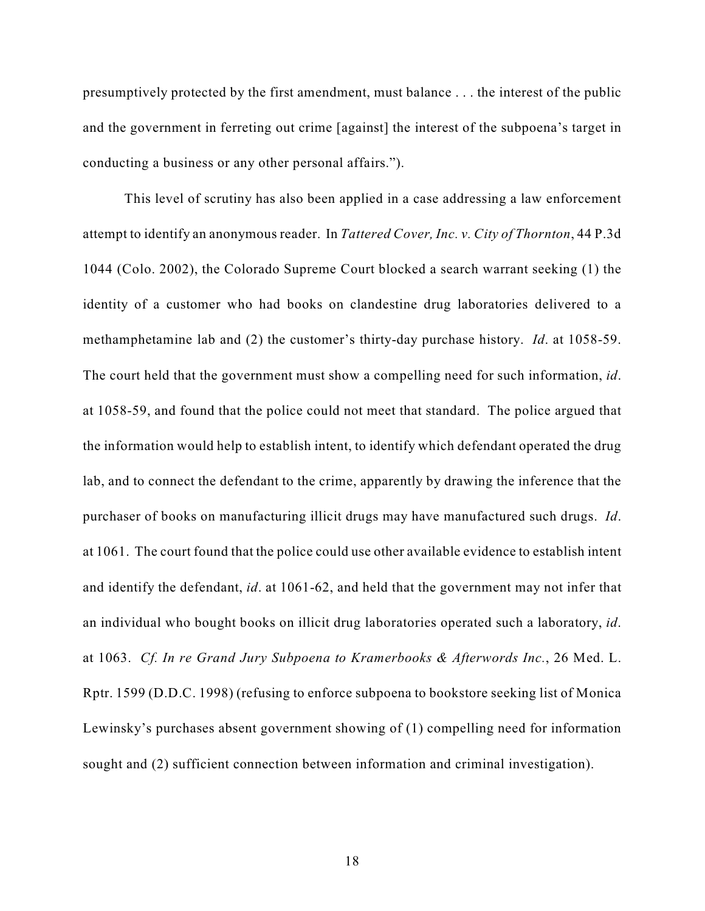presumptively protected by the first amendment, must balance . . . the interest of the public and the government in ferreting out crime [against] the interest of the subpoena's target in conducting a business or any other personal affairs.").

This level of scrutiny has also been applied in a case addressing a law enforcement attempt to identify an anonymous reader. In *Tattered Cover, Inc. v. City of Thornton*, 44 P.3d 1044 (Colo. 2002), the Colorado Supreme Court blocked a search warrant seeking (1) the identity of a customer who had books on clandestine drug laboratories delivered to a methamphetamine lab and (2) the customer's thirty-day purchase history. *Id*. at 1058-59. The court held that the government must show a compelling need for such information, *id*. at 1058-59, and found that the police could not meet that standard. The police argued that the information would help to establish intent, to identify which defendant operated the drug lab, and to connect the defendant to the crime, apparently by drawing the inference that the purchaser of books on manufacturing illicit drugs may have manufactured such drugs. *Id*. at 1061. The court found that the police could use other available evidence to establish intent and identify the defendant, *id*. at 1061-62, and held that the government may not infer that an individual who bought books on illicit drug laboratories operated such a laboratory, *id*. at 1063. *Cf. In re Grand Jury Subpoena to Kramerbooks & Afterwords Inc.*, 26 Med. L. Rptr. 1599 (D.D.C. 1998) (refusing to enforce subpoena to bookstore seeking list of Monica Lewinsky's purchases absent government showing of (1) compelling need for information sought and (2) sufficient connection between information and criminal investigation).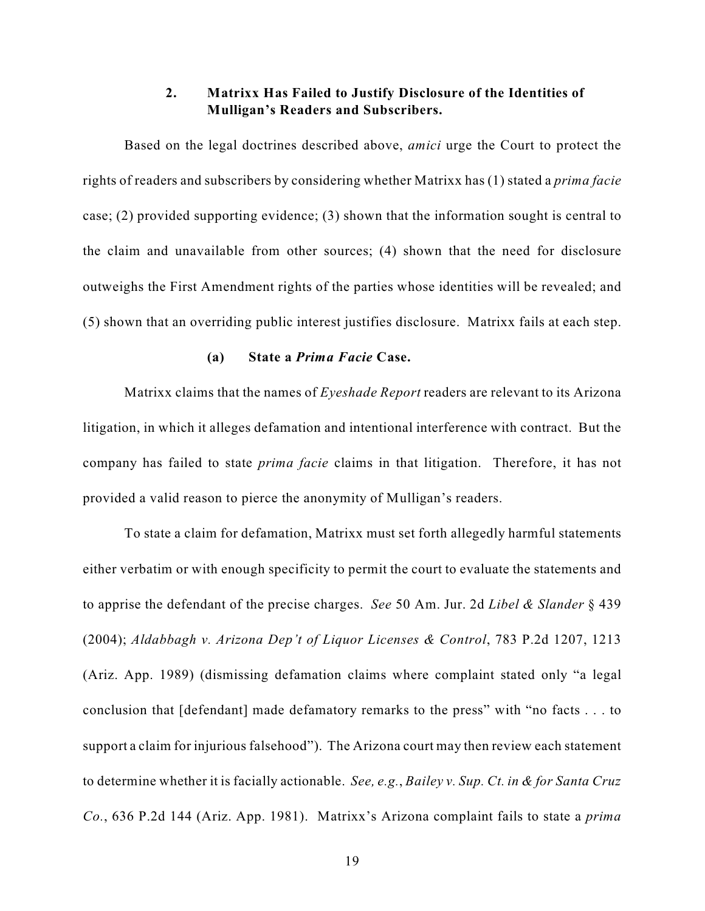## **2. Matrixx Has Failed to Justify Disclosure of the Identities of Mulligan's Readers and Subscribers.**

Based on the legal doctrines described above, *amici* urge the Court to protect the rights of readers and subscribers by considering whether Matrixx has (1) stated a *prima facie* case; (2) provided supporting evidence; (3) shown that the information sought is central to the claim and unavailable from other sources; (4) shown that the need for disclosure outweighs the First Amendment rights of the parties whose identities will be revealed; and (5) shown that an overriding public interest justifies disclosure. Matrixx fails at each step.

#### **(a) State a** *Prima Facie* **Case.**

Matrixx claims that the names of *Eyeshade Report* readers are relevant to its Arizona litigation, in which it alleges defamation and intentional interference with contract. But the company has failed to state *prima facie* claims in that litigation. Therefore, it has not provided a valid reason to pierce the anonymity of Mulligan's readers.

To state a claim for defamation, Matrixx must set forth allegedly harmful statements either verbatim or with enough specificity to permit the court to evaluate the statements and to apprise the defendant of the precise charges. *See* 50 Am. Jur. 2d *Libel & Slander* § 439 (2004); *Aldabbagh v. Arizona Dep't of Liquor Licenses & Control*, 783 P.2d 1207, 1213 (Ariz. App. 1989) (dismissing defamation claims where complaint stated only "a legal conclusion that [defendant] made defamatory remarks to the press" with "no facts . . . to support a claim for injurious falsehood"). The Arizona court may then review each statement to determine whether it is facially actionable. *See, e.g.*, *Bailey v. Sup. Ct. in & for Santa Cruz Co.*, 636 P.2d 144 (Ariz. App. 1981). Matrixx's Arizona complaint fails to state a *prima*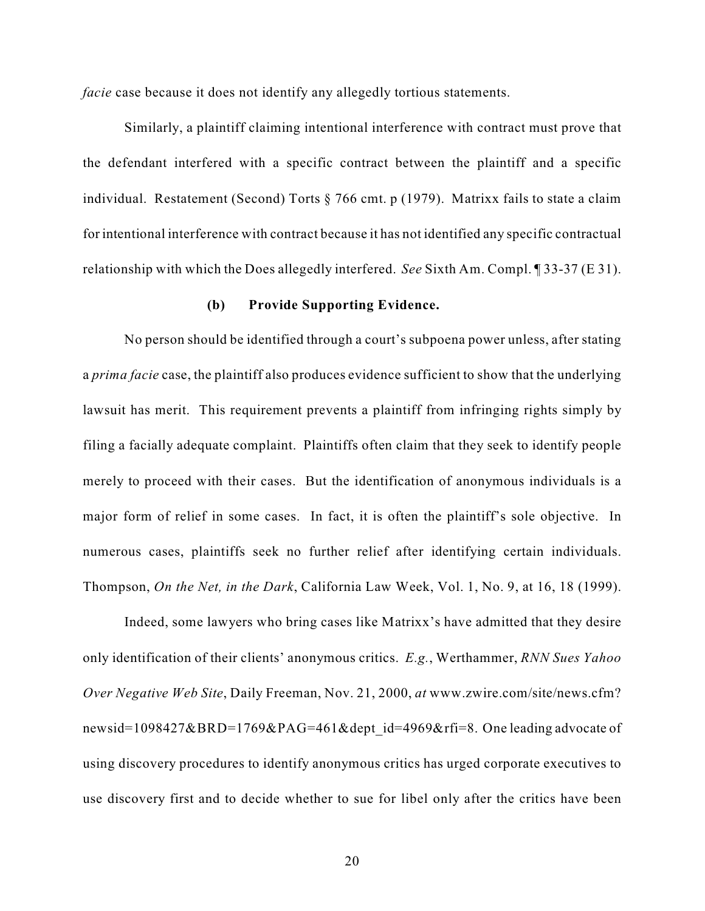*facie* case because it does not identify any allegedly tortious statements.

Similarly, a plaintiff claiming intentional interference with contract must prove that the defendant interfered with a specific contract between the plaintiff and a specific individual. Restatement (Second) Torts § 766 cmt. p (1979). Matrixx fails to state a claim for intentional interference with contract because it has not identified any specific contractual relationship with which the Does allegedly interfered. *See* Sixth Am. Compl. ¶ 33-37 (E 31).

### **(b) Provide Supporting Evidence.**

No person should be identified through a court's subpoena power unless, after stating a *prima facie* case, the plaintiff also produces evidence sufficient to show that the underlying lawsuit has merit. This requirement prevents a plaintiff from infringing rights simply by filing a facially adequate complaint. Plaintiffs often claim that they seek to identify people merely to proceed with their cases. But the identification of anonymous individuals is a major form of relief in some cases. In fact, it is often the plaintiff's sole objective. In numerous cases, plaintiffs seek no further relief after identifying certain individuals. Thompson, *On the Net, in the Dark*, California Law Week, Vol. 1, No. 9, at 16, 18 (1999).

Indeed, some lawyers who bring cases like Matrixx's have admitted that they desire only identification of their clients' anonymous critics. *E.g.*, Werthammer, *RNN Sues Yahoo Over Negative Web Site*, Daily Freeman, Nov. 21, 2000, *at* www.zwire.com/site/news.cfm? newsid=1098427&BRD=1769&PAG=461&dept\_id=4969&rfi=8. One leading advocate of using discovery procedures to identify anonymous critics has urged corporate executives to use discovery first and to decide whether to sue for libel only after the critics have been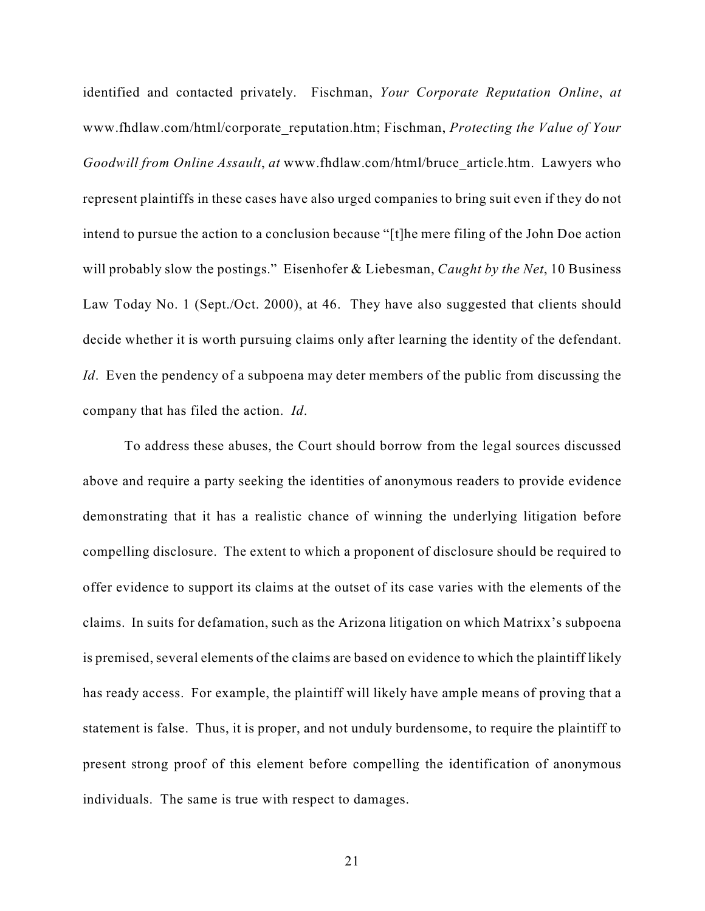identified and contacted privately. Fischman, *Your Corporate Reputation Online*, *at* www.fhdlaw.com/html/corporate\_reputation.htm; Fischman, *Protecting the Value of Your Goodwill from Online Assault*, *at* www.fhdlaw.com/html/bruce\_article.htm. Lawyers who represent plaintiffs in these cases have also urged companies to bring suit even if they do not intend to pursue the action to a conclusion because "[t]he mere filing of the John Doe action will probably slow the postings." Eisenhofer & Liebesman, *Caught by the Net*, 10 Business Law Today No. 1 (Sept./Oct. 2000), at 46. They have also suggested that clients should decide whether it is worth pursuing claims only after learning the identity of the defendant. *Id*. Even the pendency of a subpoena may deter members of the public from discussing the company that has filed the action. *Id*.

To address these abuses, the Court should borrow from the legal sources discussed above and require a party seeking the identities of anonymous readers to provide evidence demonstrating that it has a realistic chance of winning the underlying litigation before compelling disclosure. The extent to which a proponent of disclosure should be required to offer evidence to support its claims at the outset of its case varies with the elements of the claims. In suits for defamation, such as the Arizona litigation on which Matrixx's subpoena is premised, several elements of the claims are based on evidence to which the plaintiff likely has ready access. For example, the plaintiff will likely have ample means of proving that a statement is false. Thus, it is proper, and not unduly burdensome, to require the plaintiff to present strong proof of this element before compelling the identification of anonymous individuals. The same is true with respect to damages.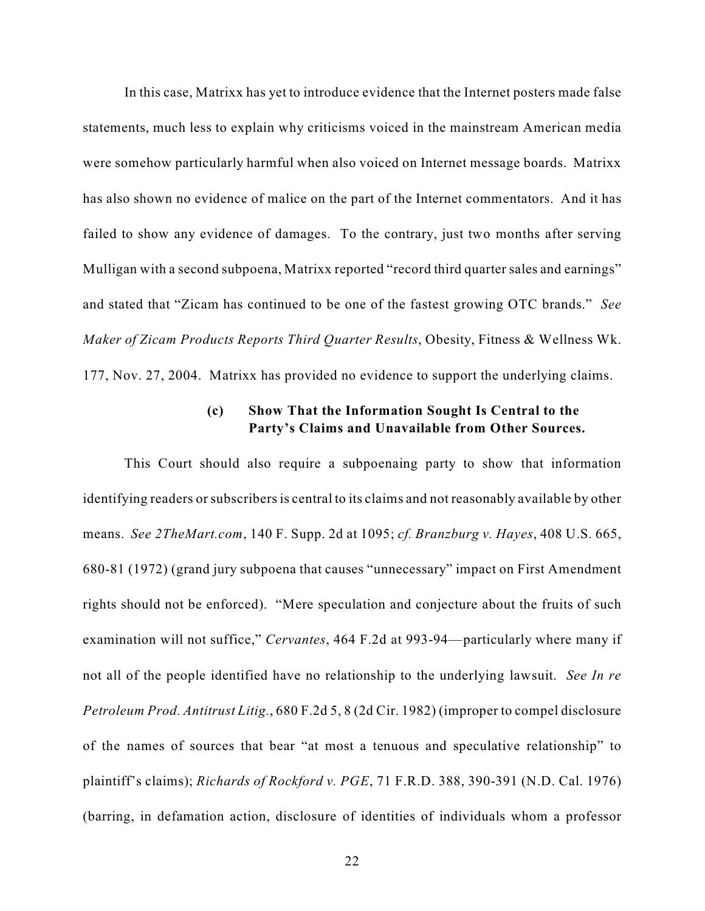In this case, Matrixx has yet to introduce evidence that the Internet posters made false statements, much less to explain why criticisms voiced in the mainstream American media were somehow particularly harmful when also voiced on Internet message boards. Matrixx has also shown no evidence of malice on the part of the Internet commentators. And it has failed to show any evidence of damages. To the contrary, just two months after serving Mulligan with a second subpoena, Matrixx reported "record third quarter sales and earnings" and stated that "Zicam has continued to be one of the fastest growing OTC brands." *See Maker of Zicam Products Reports Third Quarter Results*, Obesity, Fitness & Wellness Wk. 177, Nov. 27, 2004. Matrixx has provided no evidence to support the underlying claims.

## **(c) Show That the Information Sought Is Central to the Party's Claims and Unavailable from Other Sources.**

This Court should also require a subpoenaing party to show that information identifying readers or subscribers is central to its claims and not reasonably available by other means. *See 2TheMart.com*, 140 F. Supp. 2d at 1095; *cf. Branzburg v. Hayes*, 408 U.S. 665, 680-81 (1972) (grand jury subpoena that causes "unnecessary" impact on First Amendment rights should not be enforced). "Mere speculation and conjecture about the fruits of such examination will not suffice," *Cervantes*, 464 F.2d at 993-94—particularly where many if not all of the people identified have no relationship to the underlying lawsuit. *See In re Petroleum Prod. Antitrust Litig.*, 680 F.2d 5, 8 (2d Cir. 1982) (improper to compel disclosure of the names of sources that bear "at most a tenuous and speculative relationship" to plaintiff's claims); *Richards of Rockford v. PGE*, 71 F.R.D. 388, 390-391 (N.D. Cal. 1976) (barring, in defamation action, disclosure of identities of individuals whom a professor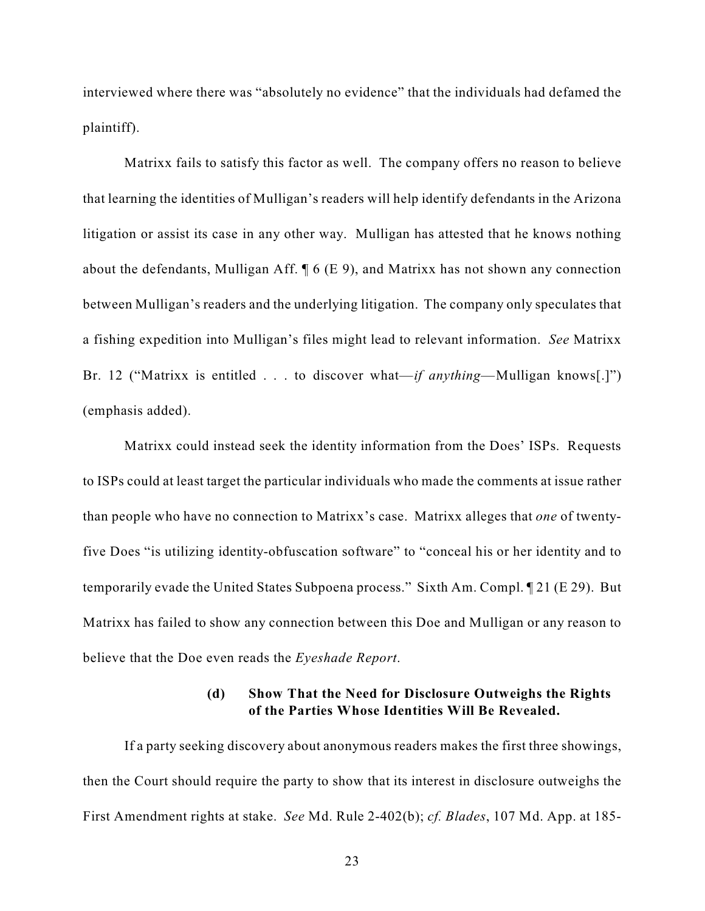interviewed where there was "absolutely no evidence" that the individuals had defamed the plaintiff).

Matrixx fails to satisfy this factor as well. The company offers no reason to believe that learning the identities of Mulligan's readers will help identify defendants in the Arizona litigation or assist its case in any other way. Mulligan has attested that he knows nothing about the defendants, Mulligan Aff. ¶ 6 (E 9), and Matrixx has not shown any connection between Mulligan's readers and the underlying litigation. The company only speculates that a fishing expedition into Mulligan's files might lead to relevant information. *See* Matrixx Br. 12 ("Matrixx is entitled . . . to discover what—*if anything*—Mulligan knows[.]") (emphasis added).

Matrixx could instead seek the identity information from the Does' ISPs. Requests to ISPs could at least target the particular individuals who made the comments at issue rather than people who have no connection to Matrixx's case. Matrixx alleges that *one* of twentyfive Does "is utilizing identity-obfuscation software" to "conceal his or her identity and to temporarily evade the United States Subpoena process." Sixth Am. Compl. ¶ 21 (E 29). But Matrixx has failed to show any connection between this Doe and Mulligan or any reason to believe that the Doe even reads the *Eyeshade Report*.

## **(d) Show That the Need for Disclosure Outweighs the Rights of the Parties Whose Identities Will Be Revealed.**

If a party seeking discovery about anonymous readers makes the first three showings, then the Court should require the party to show that its interest in disclosure outweighs the First Amendment rights at stake. *See* Md. Rule 2-402(b); *cf. Blades*, 107 Md. App. at 185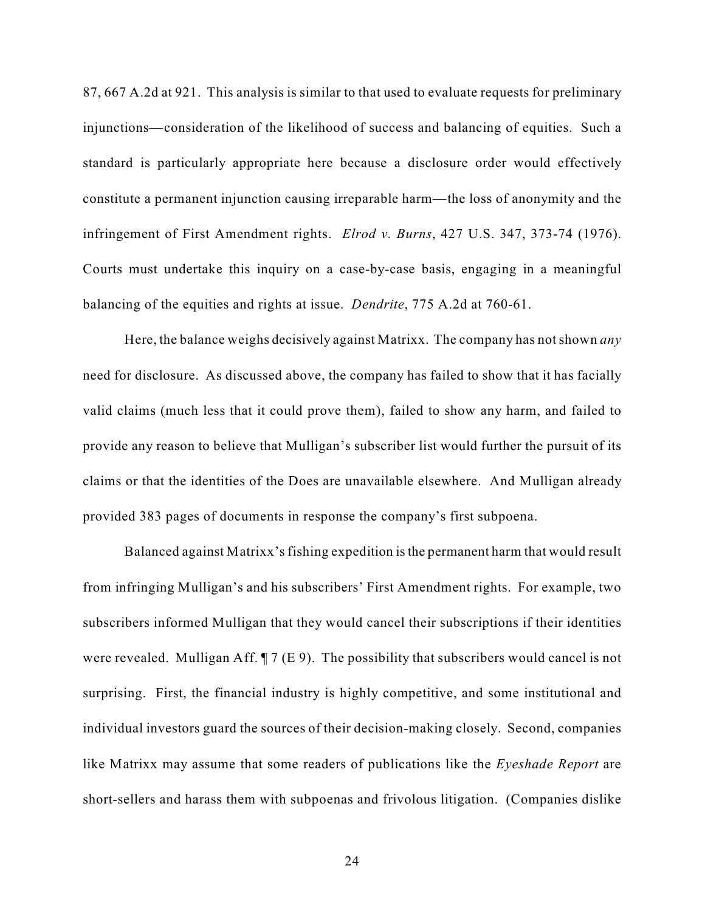87, 667 A.2d at 921. This analysis is similar to that used to evaluate requests for preliminary injunctions—consideration of the likelihood of success and balancing of equities. Such a standard is particularly appropriate here because a disclosure order would effectively constitute a permanent injunction causing irreparable harm—the loss of anonymity and the infringement of First Amendment rights. *Elrod v. Burns*, 427 U.S. 347, 373-74 (1976). Courts must undertake this inquiry on a case-by-case basis, engaging in a meaningful balancing of the equities and rights at issue. *Dendrite*, 775 A.2d at 760-61.

Here, the balance weighs decisively against Matrixx. The company has not shown *any* need for disclosure. As discussed above, the company has failed to show that it has facially valid claims (much less that it could prove them), failed to show any harm, and failed to provide any reason to believe that Mulligan's subscriber list would further the pursuit of its claims or that the identities of the Does are unavailable elsewhere. And Mulligan already provided 383 pages of documents in response the company's first subpoena.

Balanced against Matrixx's fishing expedition is the permanent harm that would result from infringing Mulligan's and his subscribers' First Amendment rights. For example, two subscribers informed Mulligan that they would cancel their subscriptions if their identities were revealed. Mulligan Aff.  $\P$  7 (E 9). The possibility that subscribers would cancel is not surprising. First, the financial industry is highly competitive, and some institutional and individual investors guard the sources of their decision-making closely. Second, companies like Matrixx may assume that some readers of publications like the *Eyeshade Report* are short-sellers and harass them with subpoenas and frivolous litigation. (Companies dislike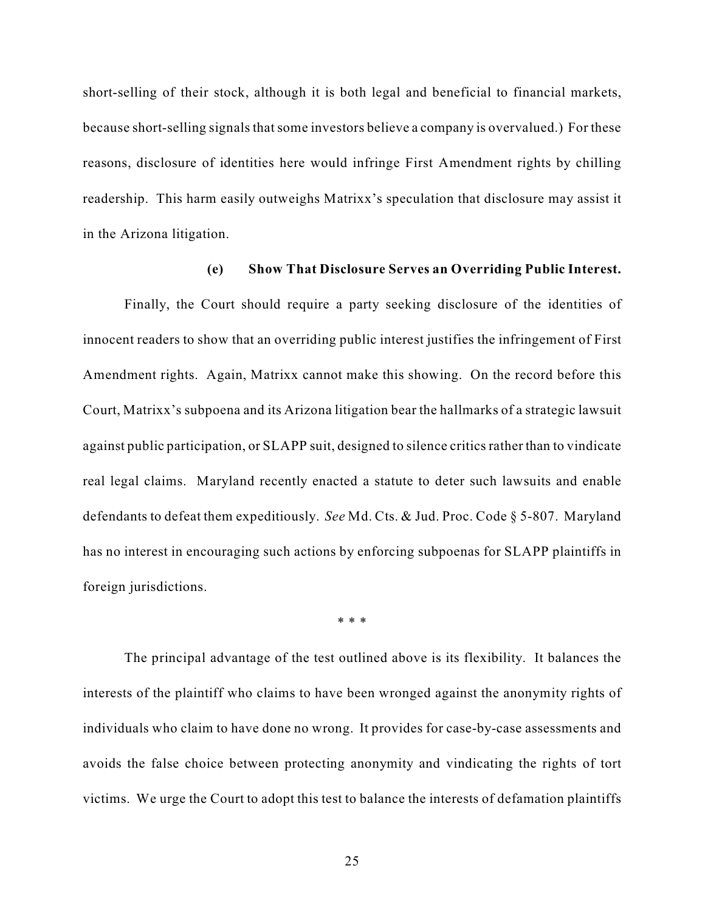short-selling of their stock, although it is both legal and beneficial to financial markets, because short-selling signals that some investors believe a company is overvalued.) For these reasons, disclosure of identities here would infringe First Amendment rights by chilling readership. This harm easily outweighs Matrixx's speculation that disclosure may assist it in the Arizona litigation.

### **(e) Show That Disclosure Serves an Overriding Public Interest.**

Finally, the Court should require a party seeking disclosure of the identities of innocent readers to show that an overriding public interest justifies the infringement of First Amendment rights. Again, Matrixx cannot make this showing. On the record before this Court, Matrixx's subpoena and its Arizona litigation bear the hallmarks of a strategic lawsuit against public participation, or SLAPP suit, designed to silence critics rather than to vindicate real legal claims. Maryland recently enacted a statute to deter such lawsuits and enable defendants to defeat them expeditiously. *See* Md. Cts. & Jud. Proc. Code § 5-807. Maryland has no interest in encouraging such actions by enforcing subpoenas for SLAPP plaintiffs in foreign jurisdictions.

\* \* \*

The principal advantage of the test outlined above is its flexibility. It balances the interests of the plaintiff who claims to have been wronged against the anonymity rights of individuals who claim to have done no wrong. It provides for case-by-case assessments and avoids the false choice between protecting anonymity and vindicating the rights of tort victims. We urge the Court to adopt this test to balance the interests of defamation plaintiffs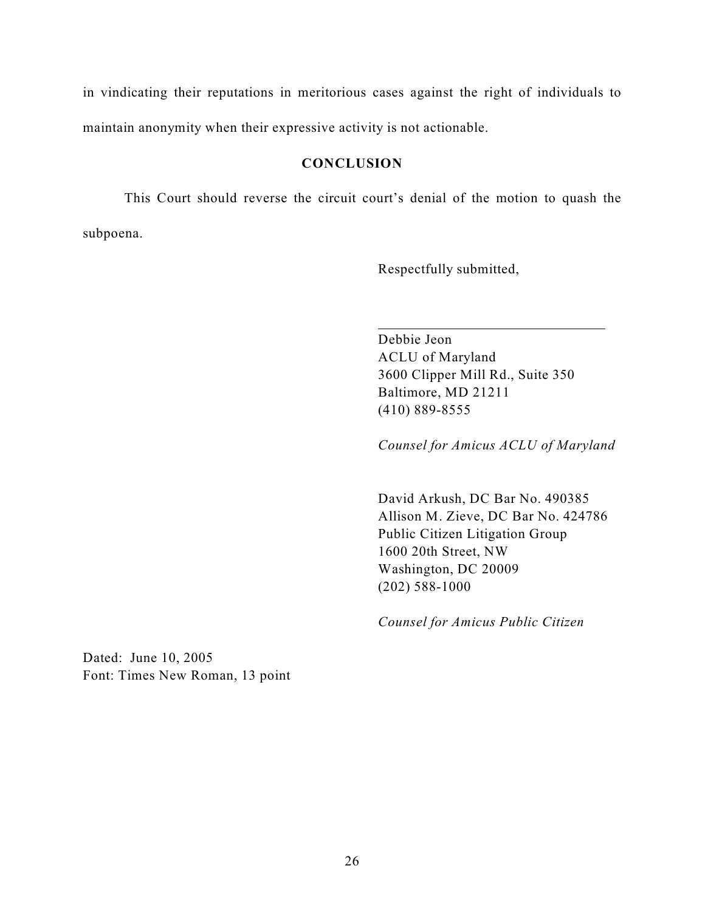in vindicating their reputations in meritorious cases against the right of individuals to maintain anonymity when their expressive activity is not actionable.

### **CONCLUSION**

This Court should reverse the circuit court's denial of the motion to quash the subpoena.

 $\overline{a}$ 

Respectfully submitted,

Debbie Jeon ACLU of Maryland 3600 Clipper Mill Rd., Suite 350 Baltimore, MD 21211 (410) 889-8555

*Counsel for Amicus ACLU of Maryland*

David Arkush, DC Bar No. 490385 Allison M. Zieve, DC Bar No. 424786 Public Citizen Litigation Group 1600 20th Street, NW Washington, DC 20009 (202) 588-1000

*Counsel for Amicus Public Citizen*

Dated: June 10, 2005 Font: Times New Roman, 13 point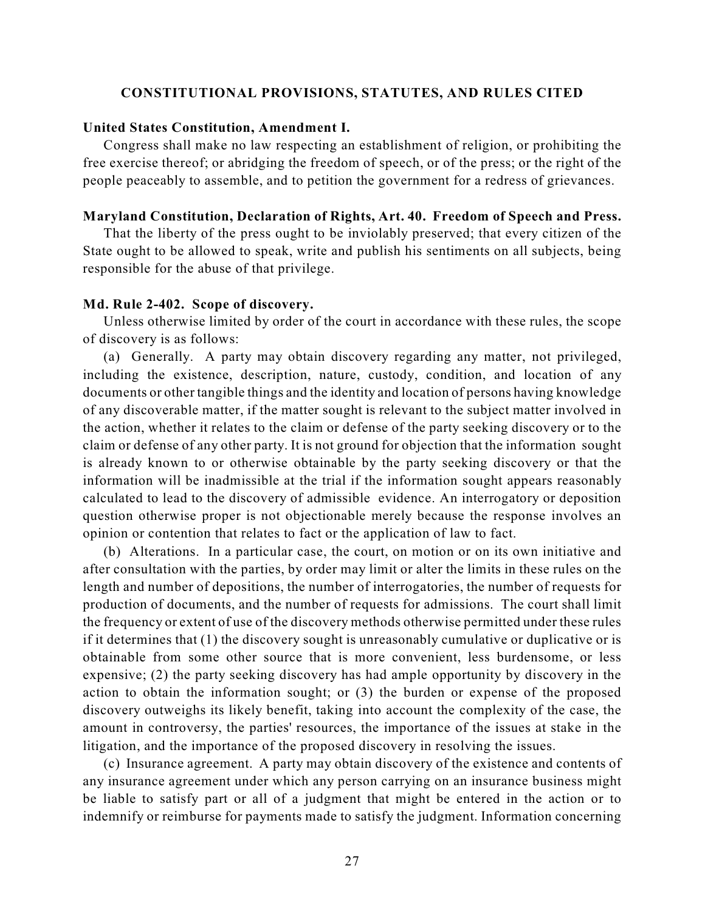### **CONSTITUTIONAL PROVISIONS, STATUTES, AND RULES CITED**

#### **United States Constitution, Amendment I.**

Congress shall make no law respecting an establishment of religion, or prohibiting the free exercise thereof; or abridging the freedom of speech, or of the press; or the right of the people peaceably to assemble, and to petition the government for a redress of grievances.

#### **Maryland Constitution, Declaration of Rights, Art. 40. Freedom of Speech and Press.**

That the liberty of the press ought to be inviolably preserved; that every citizen of the State ought to be allowed to speak, write and publish his sentiments on all subjects, being responsible for the abuse of that privilege.

### **Md. Rule 2-402. Scope of discovery.**

Unless otherwise limited by order of the court in accordance with these rules, the scope of discovery is as follows:

(a) Generally. A party may obtain discovery regarding any matter, not privileged, including the existence, description, nature, custody, condition, and location of any documents or other tangible things and the identity and location of persons having knowledge of any discoverable matter, if the matter sought is relevant to the subject matter involved in the action, whether it relates to the claim or defense of the party seeking discovery or to the claim or defense of any other party. It is not ground for objection that the information sought is already known to or otherwise obtainable by the party seeking discovery or that the information will be inadmissible at the trial if the information sought appears reasonably calculated to lead to the discovery of admissible evidence. An interrogatory or deposition question otherwise proper is not objectionable merely because the response involves an opinion or contention that relates to fact or the application of law to fact.

(b) Alterations. In a particular case, the court, on motion or on its own initiative and after consultation with the parties, by order may limit or alter the limits in these rules on the length and number of depositions, the number of interrogatories, the number of requests for production of documents, and the number of requests for admissions. The court shall limit the frequency or extent of use of the discovery methods otherwise permitted under these rules if it determines that (1) the discovery sought is unreasonably cumulative or duplicative or is obtainable from some other source that is more convenient, less burdensome, or less expensive; (2) the party seeking discovery has had ample opportunity by discovery in the action to obtain the information sought; or (3) the burden or expense of the proposed discovery outweighs its likely benefit, taking into account the complexity of the case, the amount in controversy, the parties' resources, the importance of the issues at stake in the litigation, and the importance of the proposed discovery in resolving the issues.

(c) Insurance agreement. A party may obtain discovery of the existence and contents of any insurance agreement under which any person carrying on an insurance business might be liable to satisfy part or all of a judgment that might be entered in the action or to indemnify or reimburse for payments made to satisfy the judgment. Information concerning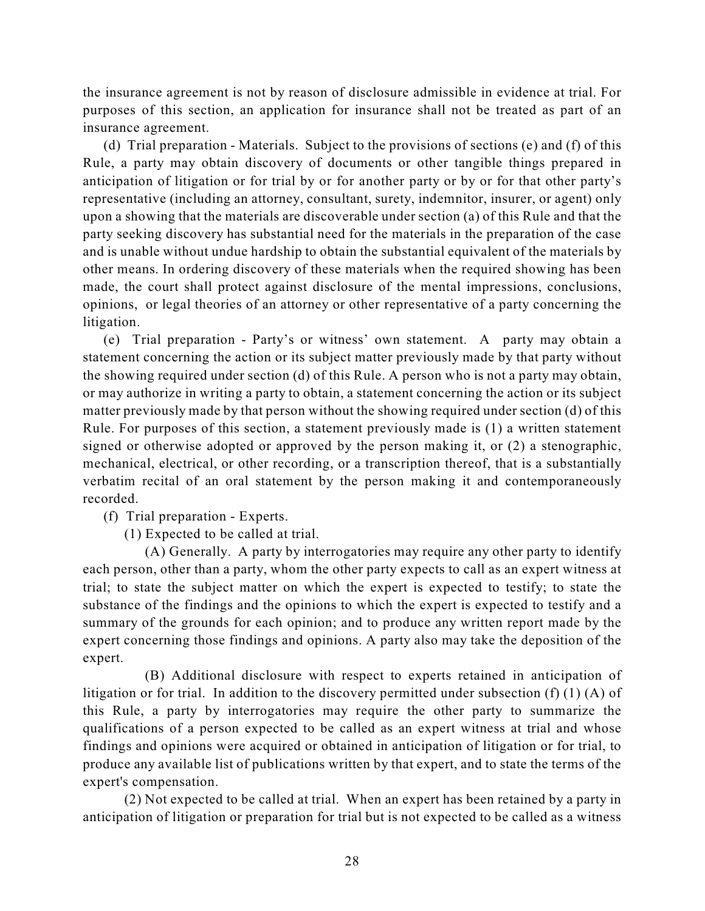the insurance agreement is not by reason of disclosure admissible in evidence at trial. For purposes of this section, an application for insurance shall not be treated as part of an insurance agreement.

(d) Trial preparation - Materials. Subject to the provisions of sections (e) and (f) of this Rule, a party may obtain discovery of documents or other tangible things prepared in anticipation of litigation or for trial by or for another party or by or for that other party's representative (including an attorney, consultant, surety, indemnitor, insurer, or agent) only upon a showing that the materials are discoverable under section (a) of this Rule and that the party seeking discovery has substantial need for the materials in the preparation of the case and is unable without undue hardship to obtain the substantial equivalent of the materials by other means. In ordering discovery of these materials when the required showing has been made, the court shall protect against disclosure of the mental impressions, conclusions, opinions, or legal theories of an attorney or other representative of a party concerning the litigation.

(e) Trial preparation - Party's or witness' own statement. A party may obtain a statement concerning the action or its subject matter previously made by that party without the showing required under section (d) of this Rule. A person who is not a party may obtain, or may authorize in writing a party to obtain, a statement concerning the action or its subject matter previously made by that person without the showing required under section (d) of this Rule. For purposes of this section, a statement previously made is (1) a written statement signed or otherwise adopted or approved by the person making it, or (2) a stenographic, mechanical, electrical, or other recording, or a transcription thereof, that is a substantially verbatim recital of an oral statement by the person making it and contemporaneously recorded.

(f) Trial preparation - Experts.

(1) Expected to be called at trial.

(A) Generally. A party by interrogatories may require any other party to identify each person, other than a party, whom the other party expects to call as an expert witness at trial; to state the subject matter on which the expert is expected to testify; to state the substance of the findings and the opinions to which the expert is expected to testify and a summary of the grounds for each opinion; and to produce any written report made by the expert concerning those findings and opinions. A party also may take the deposition of the expert.

(B) Additional disclosure with respect to experts retained in anticipation of litigation or for trial. In addition to the discovery permitted under subsection (f) (1) (A) of this Rule, a party by interrogatories may require the other party to summarize the qualifications of a person expected to be called as an expert witness at trial and whose findings and opinions were acquired or obtained in anticipation of litigation or for trial, to produce any available list of publications written by that expert, and to state the terms of the expert's compensation.

(2) Not expected to be called at trial. When an expert has been retained by a party in anticipation of litigation or preparation for trial but is not expected to be called as a witness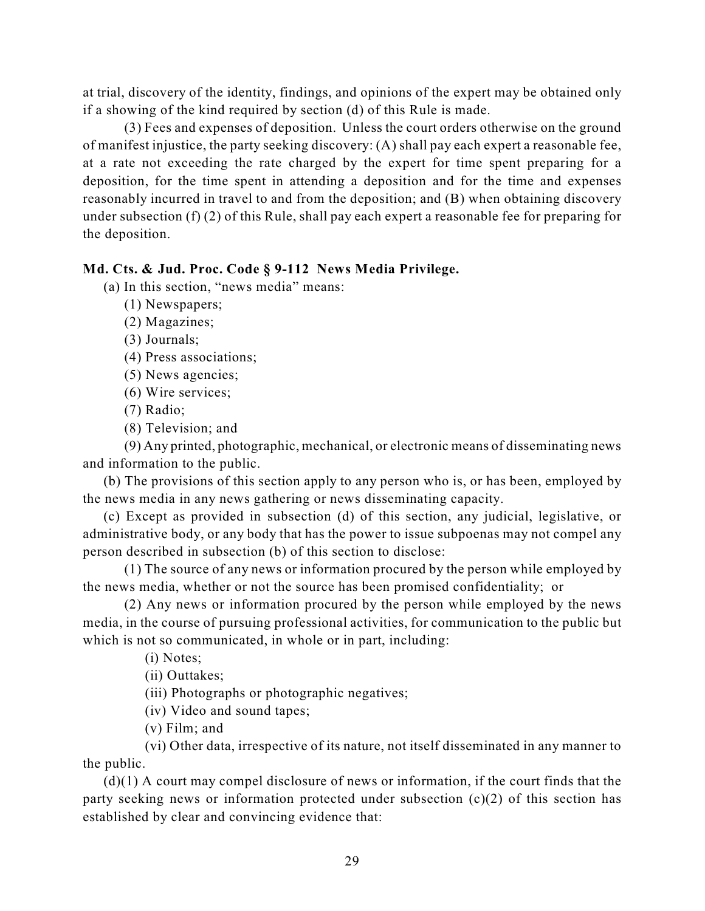at trial, discovery of the identity, findings, and opinions of the expert may be obtained only if a showing of the kind required by section (d) of this Rule is made.

(3) Fees and expenses of deposition. Unless the court orders otherwise on the ground of manifest injustice, the party seeking discovery: (A) shall pay each expert a reasonable fee, at a rate not exceeding the rate charged by the expert for time spent preparing for a deposition, for the time spent in attending a deposition and for the time and expenses reasonably incurred in travel to and from the deposition; and (B) when obtaining discovery under subsection (f) (2) of this Rule, shall pay each expert a reasonable fee for preparing for the deposition.

## **Md. Cts. & Jud. Proc. Code § 9-112 News Media Privilege.**

(a) In this section, "news media" means:

(1) Newspapers;

(2) Magazines;

(3) Journals;

(4) Press associations;

(5) News agencies;

(6) Wire services;

(7) Radio;

(8) Television; and

(9) Any printed, photographic, mechanical, or electronic means of disseminating news and information to the public.

(b) The provisions of this section apply to any person who is, or has been, employed by the news media in any news gathering or news disseminating capacity.

(c) Except as provided in subsection (d) of this section, any judicial, legislative, or administrative body, or any body that has the power to issue subpoenas may not compel any person described in subsection (b) of this section to disclose:

(1) The source of any news or information procured by the person while employed by the news media, whether or not the source has been promised confidentiality; or

(2) Any news or information procured by the person while employed by the news media, in the course of pursuing professional activities, for communication to the public but which is not so communicated, in whole or in part, including:

(i) Notes;

(ii) Outtakes;

(iii) Photographs or photographic negatives;

(iv) Video and sound tapes;

(v) Film; and

(vi) Other data, irrespective of its nature, not itself disseminated in any manner to the public.

(d)(1) A court may compel disclosure of news or information, if the court finds that the party seeking news or information protected under subsection (c)(2) of this section has established by clear and convincing evidence that: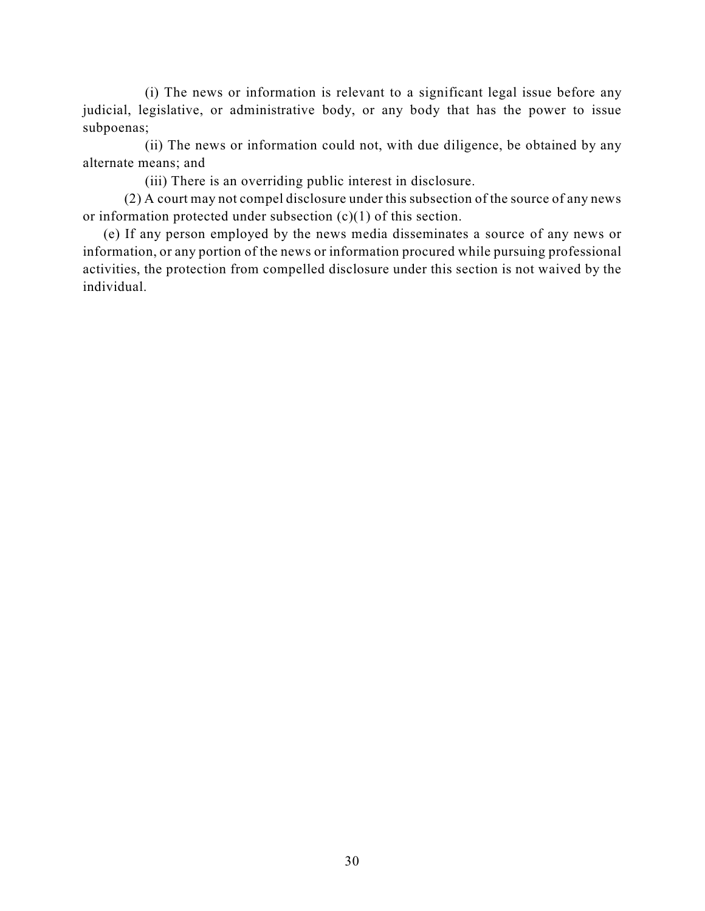(i) The news or information is relevant to a significant legal issue before any judicial, legislative, or administrative body, or any body that has the power to issue subpoenas;

(ii) The news or information could not, with due diligence, be obtained by any alternate means; and

(iii) There is an overriding public interest in disclosure.

(2) A court may not compel disclosure under this subsection of the source of any news or information protected under subsection (c)(1) of this section.

(e) If any person employed by the news media disseminates a source of any news or information, or any portion of the news or information procured while pursuing professional activities, the protection from compelled disclosure under this section is not waived by the individual.